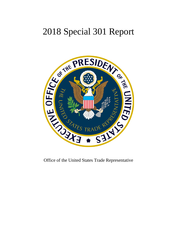# 2018 Special 301 Report



Office of the United States Trade Representative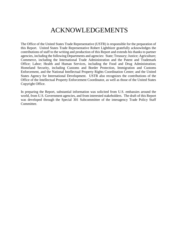### ACKNOWLEDGEMENTS

The Office of the United States Trade Representative (USTR) is responsible for the preparation of this Report. United States Trade Representative Robert Lighthizer gratefully acknowledges the contributions of staff to the writing and production of this Report and extends his thanks to partner agencies, including the following Departments and agencies: State; Treasury; Justice; Agriculture; Commerce, including the International Trade Administration and the Patent and Trademark Office; Labor; Health and Human Services, including the Food and Drug Administration; Homeland Security, including Customs and Border Protection, Immigration and Customs Enforcement, and the National Intellectual Property Rights Coordination Center; and the United States Agency for International Development. USTR also recognizes the contributions of the Office of the Intellectual Property Enforcement Coordinator, as well as those of the United States Copyright Office.

In preparing the Report, substantial information was solicited from U.S. embassies around the world, from U.S. Government agencies, and from interested stakeholders. The draft of this Report was developed through the Special 301 Subcommittee of the interagency Trade Policy Staff Committee.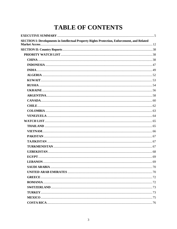## **TABLE OF CONTENTS**

| SECTION I: Developments in Intellectual Property Rights Protection, Enforcement, and Related |  |
|----------------------------------------------------------------------------------------------|--|
|                                                                                              |  |
|                                                                                              |  |
|                                                                                              |  |
|                                                                                              |  |
|                                                                                              |  |
|                                                                                              |  |
|                                                                                              |  |
|                                                                                              |  |
|                                                                                              |  |
|                                                                                              |  |
|                                                                                              |  |
|                                                                                              |  |
|                                                                                              |  |
|                                                                                              |  |
|                                                                                              |  |
|                                                                                              |  |
|                                                                                              |  |
|                                                                                              |  |
|                                                                                              |  |
|                                                                                              |  |
|                                                                                              |  |
|                                                                                              |  |
|                                                                                              |  |
|                                                                                              |  |
|                                                                                              |  |
|                                                                                              |  |
|                                                                                              |  |
|                                                                                              |  |
|                                                                                              |  |
|                                                                                              |  |
|                                                                                              |  |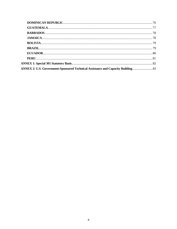| ANNEX 2: U.S. Government-Sponsored Technical Assistance and Capacity Building |  |
|-------------------------------------------------------------------------------|--|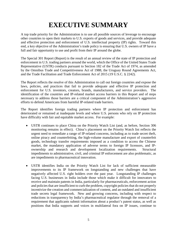# **EXECUTIVE SUMMARY**

<span id="page-4-0"></span>A top trade priority for the Administration is to use all possible sources of leverage to encourage other countries to open their markets to U.S. exports of goods and services, and provide adequate and effective protection and enforcement of U.S. intellectual property (IP) rights. Toward this end, a key objective of the Administration's trade policy is ensuring that U.S. owners of IP have a full and fair opportunity to use and profit from their IP around the globe.

The Special 301 Report (Report) is the result of an annual review of the state of IP protection and enforcement in U.S. trading partners around the world, which the Office of the United States Trade Representative (USTR) conducts pursuant to Section 182 of the Trade Act of 1974, as amended by the Omnibus Trade and Competitiveness Act of 1988, the Uruguay Round Agreements Act, and the Trade Facilitation and Trade Enforcement Act of 2015 (19 U.S.C. § 2242).

The Report reflects the resolve of this Administration to call out foreign countries and expose the laws, policies, and practices that fail to provide adequate and effective IP protection and enforcement for U.S. inventors, creators, brands, manufacturers, and service providers. The identification of the countries and IP-related market access barriers in this Report and of steps necessary to address those barriers are a critical component of the Administration's aggressive efforts to defend Americans from harmful IP-related trade barriers.

The Report identifies foreign trading partners where IP protection and enforcement has deteriorated or remained at inadequate levels and where U.S. persons who rely on IP protection have difficulty with fair and equitable market access. For example:

- USTR continues to place China on the Priority Watch List (and, as before, Section 306 monitoring remains in effect). China's placement on the Priority Watch list reflects the urgent need to remediate a range of IP-related concerns, including as to trade secret theft, online piracy and counterfeiting, the high-volume manufacture and export of counterfeit goods, technology transfer requirements imposed as a condition to access the Chinese market, the mandatory application of adverse terms to foreign IP licensors, and IPownership and research and development localization requirements. Structural impediments to administrative, civil, and criminal IP enforcement are also problematic, as are impediments to pharmaceutical innovation.
- USTR identifies India on the Priority Watch List for lack of sufficient measurable improvements to its IP framework on longstanding and new challenges that have negatively affected U.S. right holders over the past year. Longstanding IP challenges facing U.S. businesses in India include those which make it difficult for innovators to receive and maintain patents in India, particularly for pharmaceuticals, enforcement action and policies that are insufficient to curb the problem, copyright policies that do not properly incentivize the creation and commercialization of content, and an outdated and insufficient trade secrets legal framework. New and growing concerns, including with respect to reductions in transparency by India's pharmaceutical regulator through the removal of a requirement that applicants submit information about a product's patent status, as well as positions that India supports and voices in multilateral fora on IP issues, continue to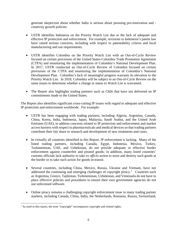generate skepticism about whether India is serious about pursuing pro-innovation and creativity growth policies.

- USTR identifies Indonesia on the Priority Watch List due to the lack of adequate and effective IP protection and enforcement. For example, revisions to Indonesia's patent law have raised serious concerns, including with respect to patentability criteria and local manufacturing and use requirements.
- USTR identifies Colombia on the Priority Watch List with an Out-of-Cycle Review focused on certain provisions of the United States-Colombia Trade Promotion Agreement (CTPA) and monitoring the implementation of Colombia's National Development Plan. In 2017, USTR conducted an Out-of-Cycle Review of Colombia focused on certain provisions of the CTPA and monitoring the implementation of Colombia's National Development Plan. Colombia's lack of meaningful progress warrants its elevation to the Priority Watch List. In 2018, Colombia will be subject to an Out-of-Cycle Review on the same issues to determine whether a change in status to Watch List is warranted.
- The Report also highlights trading partners such as Chile that have not delivered on IP commitments made to the United States.

The Report also identifies significant cross-cutting IP issues with regard to adequate and effective IP protection and enforcement worldwide. For example:

- USTR has been engaging with trading partners, including Algeria, Argentina, Canada, China, Korea, India, Indonesia, Japan, Malaysia, Saudi Arabia, and the United Arab Emirates (UAE), to address concerns related to IP protection and enforcement and market access barriers with respect to pharmaceuticals and medical devices so that trading partners contribute their fair share to research and development of new treatments and cures.
- In virtually all countries identified in this Report, IP enforcement is lacking. Many of the listed trading partners, including Canada, Egypt, Indonesia, Mexico, Turkey, Turkmenistan, UAE, and Uzbekistan, do not provide adequate or effective border enforcement against counterfeit and pirated goods; in addition, many listed countries' customs officials lack authority to take *ex officio* action to seize and destroy such goods at the border or to take such action for goods in-transit.
- Several countries, including China, Mexico, Russia, Ukraine and Vietnam, have not addressed the continuing and emerging challenges of copyright piracy.<sup>[1](#page-5-0)</sup> Countries such as Argentina, Greece, Tajikistan, Turkmenistan, Uzbekistan, and Venezuela do not have in place effective policies and procedures to ensure their own government agencies do not use unlicensed software.
- Online piracy remains a challenging copyright enforcement issue in many trading partner markets, including Canada, China, India, the Netherlands, Romania, Russia, Switzerland,

<span id="page-5-0"></span>l  $<sup>1</sup>$  As used in this report, the term "copyright" encompasses copyright and related rights.</sup>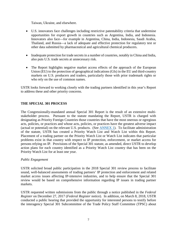Taiwan, Ukraine, and elsewhere.

- U.S. innovators face challenges including restrictive patentability criteria that undermine opportunities for export growth in countries such as Argentina, India, and Indonesia. Innovators also face—for example in Argentina, China, India, Indonesia, Saudi Arabia, Thailand, and Russia—a lack of adequate and effective protection for regulatory test or other data submitted by pharmaceutical and agricultural chemical producers.
- Inadequate protection for trade secrets in a number of countries, notably in China and India, also puts U.S. trade secrets at unnecessary risk.
- The Report highlights negative market access effects of the approach of the European Union (EU) to the protection of geographical indications (GIs) in the EU and third-country markets on U.S. producers and traders, particularly those with prior trademark rights or who rely on the use of common names.

USTR looks forward to working closely with the trading partners identified in this year's Report to address these and other priority concerns.

#### **THE SPECIAL 301 PROCESS**

The Congressionally-mandated annual Special 301 Report is the result of an extensive multistakeholder process. Pursuant to the statute mandating the Report, USTR is charged with designating as Priority Foreign Countries those countries that have the most onerous or egregious acts, policies, or practices and whose acts, policies, or practices have the greatest adverse impact (actual or potential) on the relevant U.S. products. (See ANNEX 1). To facilitate administration of the statute, USTR has created a Priority Watch List and Watch List within this Report. Placement of a trading partner on the Priority Watch List or Watch List indicates that particular problems exist in that country with respect to IP protection, enforcement, or market access for persons relying on IP. Provisions of the Special 301 statute, as amended, direct USTR to develop action plans for each country identified as a Priority Watch List country that has been on the Priority Watch List for at least one year.

#### *Public Engagement*

USTR solicited broad public participation in the 2018 Special 301 review process to facilitate sound, well-balanced assessments of trading partners' IP protection and enforcement and related market access issues affecting IP-intensive industries, and to help ensure that the Special 301 review would be based on comprehensive information regarding IP issues in trading partner markets.

USTR requested written submissions from the public through a notice published in the *Federal Register* on December 27, 2017 (*[Federal Register](https://www.federalregister.gov/articles/2016/01/11/2015-33278/2016-special-301-review-identification-of-countries-under-section-182-of-the-trade-act-of-1974)* notice). In addition, on March 8, 2018, USTR conducted a public hearing that provided the opportunity for interested persons to testify before the interagency Special 301 Subcommittee of the Trade Policy Staff Committee (TPSC) about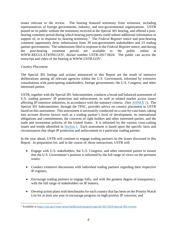issues relevant to the review. The hearing featured testimony from witnesses, including representatives of foreign governments, industry, and non-governmental organizations. USTR posted on its public website the testimony received at the Special 301 hearing, and offered a posthearing comment period during which hearing participants could submit additional information in support of, or in response to, hearing testimony.<sup>[2](#page-7-0)</sup> The *Federal Register* notice and post-hearing comment opportunity drew submissions from 39 non-government stakeholders and 23 trading partner governments. The submissions filed in response to the *Federal Register* notice, and during the post-hearing comment period are available to the public online at [WWW.REGULATIONS.GOV,](http://www.regulations.gov/) docket number USTR-2017-0024. The public can access the [transcript a](https://ustr.gov/sites/default/files/Special-301-FINAL-03012016.pdf)nd video of the hearing at [WWW.USTR.GOV.](http://www.ustr.gov/)

#### *Country Placement*

l

The Special 301 listings and actions announced in this Report are the result of intensive deliberations among all relevant agencies within the U.S. Government, informed by extensive consultations with participating stakeholders, foreign governments, the U.S. Congress, and other interested parties.

USTR, together with the Special 301 Subcommittee, conducts a broad and balanced assessment of U.S. trading partners' IP protection and enforcement, as well as related market access issues affecting IP-intensive industries, in accordance with the statutory criteria. (See ANNEX 1). The Special 301 Subcommittee, through the TPSC, provides advice on country placement to USTR based on this assessment. This assessment is necessarily conducted on a case-by-case basis, taking into account diverse factors such as a trading partner's level of development, its international obligations and commitments, the concerns of right holders and other interested parties, and the trade and investment policies of the United States. It is informed by the various cross-cutting issues and trends identified in Section I. Each assessment is based upon the specific facts and circumstances that shape IP protection and enforcement in a particular trading partner.

In the year ahead, USTR will continue to engage trading partners on the issues discussed in this Report. In preparation for, and in the course of, those interactions, USTR will:

- Engage with U.S. stakeholders, the U.S. Congress, and other interested parties to ensure that the U.S. Government's position is informed by the full range of views on the pertinent issues;
- Conduct extensive discussions with individual trading partners regarding their respective IP regimes;
- Encourage trading partners to engage fully, and with the greatest degree of transparency, with the full range of stakeholders on IP matters;
- Develop action plans with benchmarks for each country that has been on the Priority Watch List for at least one year to encourage progress on high-priority IP concerns; and

<span id="page-7-0"></span><sup>&</sup>lt;sup>2</sup> Available at [https://ustr.gov/issue-areas/intellectual-property/special-301/2018-special-301-review.](https://ustr.gov/issue-areas/intellectual-property/special-301/2018-special-301-review)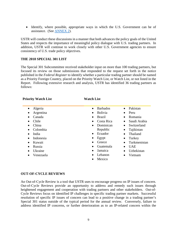• Identify, where possible, appropriate ways in which the U.S. Government can be of assistance. (See ANNEX 2).

USTR will conduct these discussions in a manner that both advances the policy goals of the United States and respects the importance of meaningful policy dialogue with U.S. trading partners. In addition, USTR will continue to work closely with other U.S. Government agencies to ensure consistency of U.S. trade policy objectives.

#### **THE 2018 SPECIAL 301 LIST**

The Special 301 Subcommittee received stakeholder input on more than 100 trading partners, but focused its review on those submissions that responded to the request set forth in the notice published in the *Federal Register* to identify whether a particular trading partner should be named as a Priority Foreign Country, placed on the Priority Watch List, or Watch List, or not listed in the Report. Following extensive research and analysis, USTR has identified 36 trading partners as follows:

#### **Priority Watch List Watch List**

| Algeria               | <b>Barbados</b><br>$\bullet$ | Pakistan<br>$\bullet$     |
|-----------------------|------------------------------|---------------------------|
| Argentina             | <b>Bolivia</b><br>$\bullet$  | Peru<br>$\bullet$         |
| Canada<br>$\bullet$   | <b>Brazil</b><br>$\bullet$   | Romania                   |
| Chile                 | Costa Rica<br>٠              | Saudi Arabia<br>$\bullet$ |
| China<br>$\bullet$    | Dominican<br>$\bullet$       | Switzerland<br>$\bullet$  |
| Colombia<br>$\bullet$ | Republic                     | Tajikistan                |
| India<br>٠            | Ecuador<br>$\bullet$         | Thailand<br>$\bullet$     |
| Indonesia             | Egypt<br>$\bullet$           | Turkey                    |
| Kuwait<br>$\bullet$   | Greece                       | Turkmenistan<br>$\bullet$ |
| Russia<br>٠           | Guatemala                    | <b>UAE</b><br>$\bullet$   |
| Ukraine<br>$\bullet$  | Jamaica<br>$\bullet$         | Uzbekistan                |
| Venezuela             | Lebanon                      | Vietnam                   |
|                       | Mexico                       |                           |
|                       |                              |                           |

#### **OUT-OF-CYCLE REVIEWS**

An Out-of-Cycle Review is a tool that USTR uses to encourage progress on IP issues of concern. Out-of-Cycle Reviews provide an opportunity to address and remedy such issues through heightened engagement and cooperation with trading partners and other stakeholders. Out-of-Cycle Reviews focus on identified IP challenges in specific trading partner markets. Successful resolution of specific IP issues of concern can lead to a positive change in a trading partner's Special 301 status outside of the typical period for the annual review. Conversely, failure to address identified IP concerns, or further deterioration as to an IP-related concern within the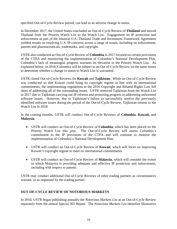specified Out-of-Cycle Review period, can lead to an adverse change in status.

In December 2017, the United States concluded an Out-of-Cycle Review of **Thailand** and moved Thailand from the Priority Watch List to the Watch List. Engagement on IP protection and enforcement as part of the bilateral U.S.-Thailand Trade and Investment Framework Agreement yielded results on resolving U.S. IP concerns across a range of issues, including on enforcement, patents and pharmaceuticals, trademarks, and copyright.

USTR also conducted an Out-of-Cycle Review of **Colombia** in 2017 focused on certain provisions of the CTPA and monitoring the implementation of Colombia's National Development Plan. Colombia's lack of meaningful progress warrants its elevation to the Priority Watch List. As explained below, in 2018, Colombia will be subject to an Out-of-Cycle Review on the same issues to determine whether a change in status to Watch List is warranted.

USTR closed Out-of-Cycle Reviews for **Kuwait** and **Tajikistan**. While an Out-of-Cycle Review was conducted so that Kuwait could bring its copyright regime in line with its international commitments, the implementing regulations to the 2016 Copyright and Related Rights Law fell short of addressing all of the outstanding issues. USTR removed Tajikistan from the Watch List in 2017 due to Tajikistan carrying out IP reforms and promising progress in addressing unlicensed software issues. However, due to Tajikistan's failure to successfully resolve the previously identified software issues during the period of the Out-of-Cycle Review, Tajikistan returns to the Watch List in 2018.

In the coming months, USTR will conduct Out-of-Cycle Reviews of **Colombia**, **Kuwait,** and **Malaysia**.

- USTR will conduct an Out-of-Cycle Review of **Colombia**, which has been placed on the Priority Watch List this year. The Out-of-Cycle Review will assess Colombia's commitment to the IP provisions of the CTPA and will continue to monitor the implementation of Colombia's National Development Plan.
- USTR will conduct an Out-of-Cycle Review of **Kuwait**, which will focus on improving Kuwait's copyright regime to meet its international commitments.
- USTR will conduct an Out-of-Cycle Review of **Malaysia**, which will consider the extent to which Malaysia is providing adequate and effective IP protection and enforcement, including with respect to patents.

USTR may conduct additional Out-of-Cycle Reviews of other trading partners as circumstances warrant, or as requested by the trading partner.

#### **OUT-OF-CYCLE REVIEW OF NOTORIOUS MARKETS**

In 2010, USTR began publishing annually the *Notorious Markets List* as an Out-of-Cycle Review separately from the annual Special 301 Report. The *Notorious Markets List* identifies illustrative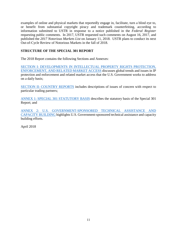examples of online and physical markets that reportedly engage in, facilitate, turn a blind eye to, or benefit from substantial copyright piracy and trademark counterfeiting, according to information submitted to USTR in response to a notice published in the *Federal Register* requesting public comments. In 2017, USTR requested such comments on August 16, 2017, and published the *2017 Notorious Markets List* on January 11, 2018. USTR plans to conduct its next Out-of-Cycle Review of Notorious Markets in the fall of 2018.

#### **STRUCTURE OF THE SPECIAL 301 REPORT**

The 2018 Report contains the following Sections and Annexes:

SECTION I: DEVELOPMENTS IN INTELLECTUAL PROPERTY RIGHTS PROTECTION, ENFORCEMENT, AND RELATED MARKET ACCESS discusses global trends and issues in IP protection and enforcement and related market access that the U.S. Government works to address on a daily basis;

[SECTION II: COUNTRY REPORTS](#page-37-3) includes descriptions of issues of concern with respect to particular trading partners;

ANNEX 1: SPECIAL 301 STATUTORY BASIS describes the statutory basis of the Special 301 Report; and

ANNEX 2: U.S. GOVERNMENT-SPONSORED TECHNICAL ASSISTANCE AND CAPACITY BUILDING highlights U.S. Government-sponsored technical assistance and capacity building efforts.

April 2018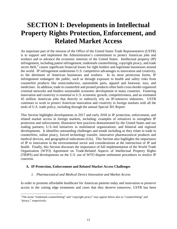# <span id="page-11-0"></span>**SECTION I: Developments in Intellectual Property Rights Protection, Enforcement, and Related Market Access**

An important part of the mission of the Office of the United States Trade Representative (USTR) is to support and implement the Administration's commitment to protect American jobs and workers and to advance the economic interests of the United States. Intellectual property (IP) infringement, including patent infringement, trademark counterfeiting, copyright piracy, and trade secret theft,<sup>[3](#page-11-1)</sup> causes significant financial losses for right holders and legitimate businesses around the world. IP infringement undermines U.S. competitive advantages in innovation and creativity, to the detriment of American businesses and workers. In its most pernicious forms, IP infringement endangers the public, such as through exposure to health and safety risks from counterfeit products like semiconductors, automobile parts, apparel and footwear, toys, and medicines. In addition, trade in counterfeit and pirated products often fuels cross-border organized criminal networks and hinders sustainable economic development in many countries. Fostering innovation and creativity is essential to U.S. economic growth, competitiveness, and an estimated 45 million American jobs that directly or indirectly rely on IP-intensive industries. USTR continues to work to protect American innovation and creativity in foreign markets with all the tools of U.S. trade policy, including through the annual Special 301 Report.

This Section highlights developments in 2017 and early 2018 in IP protection, enforcement, and related market access in foreign markets, including: examples of initiatives to strengthen IP protection and enforcement; illustrative best practices demonstrated by the United States and our trading partners; U.S.-led initiatives in multilateral organizations; and bilateral and regional developments. It identifies outstanding challenges and trends including as they relate to trade in counterfeits, online piracy, forced technology transfer, innovative pharmaceutical products and medical devices, and geographical indications (GIs). This Section also highlights the importance of IP to innovation in the environmental sector and considerations at the intersection of IP and health. Finally, this Section discusses the importance of full implementation of the World Trade Organization (WTO) Agreement on Trade-Related Aspects of Intellectual Property Rights (TRIPS) and developments on the U.S. use of WTO dispute settlement procedures to resolve IP concerns.

#### **A. IP Protection, Enforcement and Related Market Access Challenges**

#### *1. Pharmaceutical and Medical Device Innovation and Market Access*

In order to promote affordable healthcare for American patients today and innovation to preserve access to the cutting edge treatments and cures that they deserve tomorrow, USTR has been

<span id="page-11-1"></span> $\overline{a}$ <sup>3</sup> The terms "trademark counterfeiting" and "copyright piracy" may appear below also as "counterfeiting" and "piracy," respectively.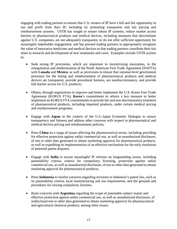engaging with trading partners to ensure that U.S. owners of IP have a full and fair opportunity to use and profit from their IP, including by promoting transparent and fair pricing and reimbursement systems. USTR has sought to ensure robust IP systems; reduce market access barriers to pharmaceutical products and medical devices, including measures that discriminate against U.S. companies, are not adequately transparent, or do not offer sufficient opportunity for meaningful stakeholder engagement; and has pressed trading partners to appropriately recognize the value of innovative medicines and medical devices so that trading partners contribute their fair share to research and development of new treatments and cures. Examples include USTR actions to:

- Seek strong IP provisions, which are important to incentivizing innovation, in the renegotiation and modernization of the North American Free Trade Agreement (NAFTA) with **Canada** and **Mexico**, as well as provisions to ensure that national-level government processes for the listing and reimbursement of pharmaceutical products and medical devices are transparent, provide procedural fairness, are nondiscriminatory, and provide full market access for U.S. products;
- Obtain, through negotiations to improve and better implement the U.S.-Korea Free Trade Agreement (KORUS FTA), **Korea**'s commitment to reform a key measure to better implement its KORUS FTA commitments to provide fair and non-discriminatory treatment of pharmaceutical products, including imported products, under certain medical pricing and reimbursement programs;
- Engage with **Japan** in the context of the U.S.-Japan Economic Dialogue to ensure transparency and fairness and address other concerns with respect to pharmaceutical and medical devices pricing and reimbursement policies;
- Press **China** on a range of issues affecting the pharmaceutical sector, including providing for effective protection against unfair commercial use, as well as unauthorized disclosure, of test or other data generated to obtain marketing approval for pharmaceutical products, as well as expediting its implementation of an effective mechanism for the early resolution of potential patent disputes;
- Engage with **India** to secure meaningful IP reforms on longstanding issues, including patentability criteria, criteria for compulsory licensing, protection against unfair commercial use, as well as unauthorized disclosure, of test or other data generated to obtain marketing approval for pharmaceutical products;
- Press **Indonesia** to resolve concerns regarding revisions to Indonesia's patent law, such as its patentability criteria, local manufacturing and use requirements, and the grounds and procedures for issuing compulsory licenses;
- Raise concerns with **Argentina** regarding the scope of patentable subject matter and effective protection against unfair commercial use, as well as unauthorized disclosure, of undisclosed test or other data generated to obtain marketing approval for pharmaceutical and agricultural chemical products, among other issues;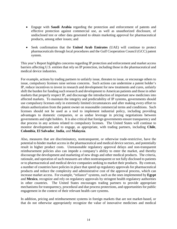- Engage with **Saudi Arabia** regarding the protection and enforcement of patents and effective protection against commercial use, as well as unauthorized disclosure, of undisclosed test or other data generated to obtain marketing approval for pharmaceutical products, among other issues; and
- Seek confirmation that the **United Arab Emirates** (UAE) will continue to protect pharmaceuticals through local procedures and the Gulf Cooperation Council (GCC) patent system.

This year's Report highlights concerns regarding IP protection and enforcement and market access barriers affecting U.S. entities that rely on IP protection, including those in the pharmaceutical and medical device industries.

For example, actions by trading partners to unfairly issue, threaten to issue, or encourage others to issue, compulsory licenses raise serious concerns. Such actions can undermine a patent holder's IP, reduce incentives to invest in research and development for new treatments and cures, unfairly shift the burden for funding such research and development to American patients and those in other markets that properly respect IP, and discourage the introduction of important new medicines into affected markets. To maintain the integrity and predictability of IP systems, governments should use compulsory licenses only in extremely limited circumstances and after making every effort to obtain authorization from the patent owner on reasonable commercial terms and conditions. Such licenses should not be used as a tool to implement industrial policy, including providing advantages to domestic companies, or as undue leverage in pricing negotiations between governments and right holders. It is also critical that foreign governments ensure transparency and due process in any actions related to compulsory licenses. The United States will continue to monitor developments and to engage, as appropriate, with trading partners, including **Chile**, **Colombia**, **El Salvador**, **India**, and **Malaysia**.

Also, measures that are discriminatory, nontransparent, or otherwise trade-restrictive, have the potential to hinder market access in the pharmaceutical and medical device sectors, and potentially result in higher product costs. Unreasonable regulatory approval delays and non-transparent reimbursement policies also can impede a company's ability to enter the market, and thereby discourage the development and marketing of new drugs and other medical products. The criteria, rationale, and operation of such measures are often nontransparent or not fully disclosed to patients or to pharmaceutical and medical device companies seeking to market their products. By contrast, a number of countries have policies in place that speed up regulatory approvals for pharmaceutical products and reduce the complexity and administrative cost of the approval process, which can increase market access. For example, "reliance" systems, such as the ones implemented by **Egypt** and **Mexico**, recognize and rely on regulatory approvals by stringent health regulatory authorities in other countries. The United States encourages trading partners to provide appropriate mechanisms for transparency, procedural and due process protections, and opportunities for public engagement in the context of their relevant health care systems.

In addition, pricing and reimbursement systems in foreign markets that are not market-based, or that do not otherwise appropriately recognize the value of innovative medicines and medical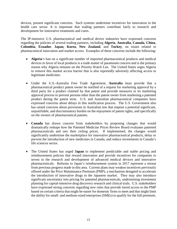devices, present significant concerns. Such systems undermine incentives for innovation in the health care sector. It is important that trading partners contribute fairly to research and development for innovative treatments and cures.

The IP-intensive U.S. pharmaceutical and medical device industries have expressed concerns regarding the policies of several trading partners, including **Algeria**, **Australia**, **Canada**, **China**, **Colombia**, **Ecuador**, **Japan**, **Korea**, **New Zealand**, and **Turkey**, on issues related to pharmaceutical innovation and market access. Examples of these concerns include the following:

- **Algeria**'s ban on a significant number of imported pharmaceutical products and medical devices in favor of local products is a trade matter of paramount concern and is the primary reason why Algeria remains on the Priority Watch List. The United States urges Algeria to remove this market access barrier that is also reportedly adversely affecting access to legitimate medicines.
- Under the U.S.-Australia Free Trade Agreement, **Australia** must provide that a pharmaceutical product patent owner be notified of a request for marketing approval by a third party for a product claimed by that patent and provide measures in its marketing approval process to prevent persons other than the patent owner from marketing a patented product during the patent term. U.S. and Australian pharmaceutical companies have expressed concerns about delays in this notification process. The U.S. Government also has raised concerns about provisions in Australian law that impose a potential significant, unjustifiable, and discriminatory burden on the enjoyment of patent rights, and specifically on the owners of pharmaceutical patents.
- **Canada** has drawn concern from stakeholders by proposing changes that would dramatically reshape how the Patented Medicine Prices Review Board evaluates patented pharmaceuticals and sets their ceiling prices. If implemented, the changes would significantly undermine the marketplace for innovative pharmaceutical products, delay or prevent the introduction of new medicines in Canada, and reduce investments in Canada's life sciences sector.
- The United States has urged **Japan** to implement predictable and stable pricing and reimbursement policies that reward innovation and provide incentives for companies to invest in the research and development of advanced medical devices and innovative pharmaceuticals. Reforms to Japan's reimbursement system in 2017 represent a retreat from previous progress made in this area. Current plans may weaken incentives previously offered under the Price Maintenance Premium (PMP), a mechanism designed to accelerate the introduction of innovative drugs to the Japanese market. They may also introduce significant uncertainty into pricing for patented pharmaceuticals, undermining investment planning for capital-intensive drug discovery research and clinical trials. U.S. stakeholders have expressed strong concerns regarding new rules that provide tiered access to the PMP based on certain criteria that might be easier for domestic firms to meet and that might limit the ability for small- and medium-sized enterprises (SMEs) to qualify for the full premium.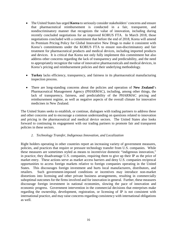- The United States has urged **Korea** to seriously consider stakeholders' concerns and ensure that pharmaceutical reimbursement is conducted in a fair, transparent, and nondiscriminatory manner that recognizes the value of innovation, including during recently concluded negotiations for an improved KORUS FTA. In March 2018, those negotiations concluded with a commitment that before the end of 2018, Korea will amend its Premium Pricing Policy for Global Innovative New Drugs to make it consistent with Korea's commitments under the KORUS FTA to ensure non-discriminatory and fair treatment for pharmaceutical products and medical devices, including imported products and devices. It is critical that Korea not only fully implement this commitment but also address other concerns regarding the lack of transparency and predictability, and the need to appropriately recognize the value of innovative pharmaceuticals and medical devices, in Korea's pricing and reimbursement policies and their underlying methodology.
- **Turkey** lacks efficiency, transparency, and fairness in its pharmaceutical manufacturing inspection process.
- There are long-standing concerns about the policies and operation of **New Zealand**'s Pharmaceutical Management Agency (PHARMAC), including, among other things, the lack of transparency, fairness, and predictability of the PHARMAC pricing and reimbursement regime, as well as negative aspects of the overall climate for innovative medicines in New Zealand.

The United States seeks to establish, or continue, dialogues with trading partners to address these and other concerns and to encourage a common understanding on questions related to innovation and pricing in the pharmaceutical and medical device sectors. The United States also looks forward to continuing its engagement with our trading partners to promote fair and transparent policies in these sectors.

#### *2. Technology Transfer, Indigenous Innovation, and Localization*

Right holders operating in other countries report an increasing variety of government measures, policies, and practices that require or pressure technology transfer from U.S. companies. While these measures are sometimes styled as means to incentivize domestic "indigenous innovation," in practice, they disadvantage U.S. companies, requiring them to give up their IP as the price of market entry. These actions serve as market access barriers and deny U.S. companies reciprocal opportunities to access foreign markets relative to foreign companies operating in the United States. This discourages foreign investment and hurts local manufacturers, distributors, and retailers. Such government-imposed conditions or incentives may introduce non-market distortions into licensing and other private business arrangements, resulting in commercially suboptimal outcomes for the firms involved and for innovation in general. Further, these measures discourage foreign investment in national economies, slowing the pace of innovation and economic progress. Government intervention in the commercial decisions that enterprises make regarding the ownership, development, registration, or licensing of IP is not consistent with international practice, and may raise concerns regarding consistency with international obligations as well.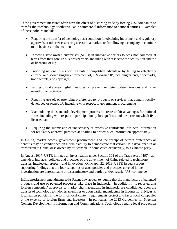These government measures often have the effect of distorting trade by forcing U.S. companies to transfer their technology or other valuable commercial information to national entities. Examples of these policies include:

- Requiring the transfer of technology as a condition for obtaining investment and regulatory approvals or otherwise securing access to a market, or for allowing a company to continue to do business in the market;
- Directing state owned enterprises (SOEs) in innovative sectors to seek non-commercial terms from their foreign business partners, including with respect to the acquisition and use or licensing of IP;
- Providing national firms with an unfair competitive advantage by failing to effectively enforce, or discouraging the enforcement of, U.S.-owned IP, including patents, trademarks, trade secrets, and copyright;
- Failing to take meaningful measures to prevent or deter cyber-intrusions and other unauthorized activities;
- Requiring use of, or providing preferences to, products or services that contain locallydeveloped or owned IP, including with respect to government procurements;
- Manipulating the standards development process to create unfair advantages for national firms, including with respect to participation by foreign firms and the terms on which IP is licensed; and
- Requiring the submission of unnecessary or excessive confidential business information for regulatory approval purposes and failing to protect such information appropriately.

In **China**, market access, government procurement, and the receipt of certain preferences or benefits may be conditioned on a firm's ability to demonstrate that certain IP is developed in or transferred to China, or is owned by or licensed, in some cases exclusively, to a Chinese party.

In August 2017, USTR initiated an investigation under Section 301 of the Trade Act of 1974, as amended, into acts, policies, and practices of the government of China related to technology transfer, intellectual property and innovation. On March 22, 2018, USTR issued a report supporting findings that the four categories of acts, policies and practices covered in the investigation are unreasonable or discriminatory and burden and/or restrict U.S. commerce.

In **Indonesia**, new amendments to its Patent Law appear to require that the manufacture of patented products and use of patented processes take place in Indonesia. In addition, it is reported that foreign companies' approvals to market pharmaceuticals in Indonesia are conditioned upon the transfer of technology to Indonesian entities or upon partial manufacture in Indonesia. In **Nigeria**, localization policies in the form of local content requirements protect and favor local companies at the expense of foreign firms and investors. In particular, the 2013 Guidelines for Nigerian Content Development in Information and Communications Technology require local production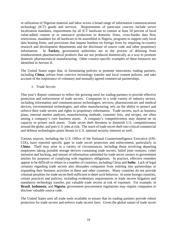or utilization of Nigerian material and labor across a broad range of information communications technology (ICT) goods and services. Requirements of particular concern include server localization mandates, requirements for all ICT hardware to contain at least 50 percent of local value-added content or to outsource production to domestic firms, cross-border data flow restrictions, mandates for all hardware to be assembled in Nigeria, programs to support only local data hosting firms, and provisions that impose burdens on foreign firms by requiring in-country research and development departments and the disclosure of source code and other proprietary information. In **Turkey,** government authorities are in the process of delisting from reimbursement pharmaceutical products that are not produced domestically as a way to promote domestic pharmaceutical manufacturing. Other country-specific examples of these measures are identified in Section II.

The United States urges that, in formulating policies to promote innovation, trading partners, including **China**, refrain from coercive technology transfer and local content policies, and take account of the importance of voluntary and mutually agreed commercial partnerships.

*3. Trade Secrets*

This year's Report continues to reflect the growing need for trading partners to provide effective protection and enforcement of trade secrets. Companies in a wide variety of industry sectors, including information and communications technologies, services, pharmaceuticals and medical devices, environmental technologies, and other manufacturing, rely on the ability to protect and enforce their trade secrets and rights in proprietary information. Trade secrets, such as business plans, internal market analyses, manufacturing methods, customer lists, and recipes, are often among a company's core business assets. A company's competitiveness may depend on its capacity to protect such assets. Trade secret theft threatens to diminish U.S. competitiveness around the globe, and puts U.S. jobs at risk. The reach of trade secret theft into critical commercial and defense technologies poses threats to U.S. national security interests as well.

Various sources, including the U.S. Office of the National Counterintelligence Executive (ON-CIX), have reported specific gaps in trade secret protection and enforcement, particularly in **China**. Theft may arise in a variety of circumstances, including those involving departing employees taking portable storage devices containing trade secrets, failed joint ventures, cyber intrusion and hacking, and misuse of information submitted by trade secret owners to government entities for purposes of complying with regulatory obligations. In practice, effective remedies appear to be difficult to obtain in a number of countries, including China and **India**. Lack of legal certainty regarding trade secrets also dissuades companies from entering into partnerships or expanding their business activities in these and other countries. Many countries do not provide criminal penalties for trade secret theft sufficient to deter such behavior. In some foreign countries, certain practices and policies, including evidentiary requirements in trade secrets litigation and mandatory technology transfer, put valuable trade secrets at risk of exposure. For example, in **Brazil**, **Indonesia**, and **Nigeria**, government procurement regulations may require companies to disclose valuable source code.

The United States uses all trade tools available to ensure that its trading partners provide robust protection for trade secrets and enforce trade secrets laws. Given the global nature of trade secret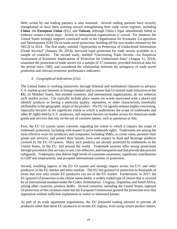theft, action by our trading partners is also essential. Several trading partners have recently strengthened or have been working toward strengthening their trade secret regimes, including **China**, the **European Union** (EU), and **Taiwan**, although China's legal amendments failed to embrace certain critical steps. Action in international organizations is crucial. For instance, the United States strongly supports continued work in the Organisation for Economic Co-operation and Development (OECD) on trade secret protection, building off the two studies released by the OECD in 2014. The first study, entitled "Approaches to Protection of Undisclosed Information (Trade Secrets)" (January 30, 2014), surveyed legal protection for trade secrets available in a sample of countries. The second study, entitled "Uncovering Trade Secrets—An Empirical Assessment of Economic Implications of Protection for Undisclosed Data" (August 11, 2014), examined the protection of trade secrets for a sample of 37 countries, provided historical data for the period since 1985, and considered the relationship between the stringency of trade secret protection and relevant economic performance indicators.

#### *4. Geographical Indications (GIs)*

The United States is working intensively through bilateral and multilateral channels to advance U.S. market access interests in foreign markets and to ensure that GI-related trade initiatives of the **EU**, its Member States, like-minded countries, and international organizations, do not undercut such market access. GIs typically include place names (or words associated with a place) and identify products as having a particular quality, reputation, or other characteristic essentially attributable to the geographic origin of the product. The EU GI agenda remains highly concerning, especially because of the significant extent to which it undermines the scope of trademarks and other IP rights held by U.S. producers, and imposes barriers on market access for American-made goods and services that rely on the use of common names, such as parmesan or feta.

First, the EU GI system raises concerns regarding the extent to which it impairs the scope of trademark protection, including with respect to prior trademark rights. Trademarks are among the most effective ways for producers and companies, including SMEs, to create value, promote their goods and services, and protect their brands, even with respect to food and beverage products covered by the EU GI system. Many such products are already protected by trademarks in the United States, in the EU, and around the world. Trademark systems offer strong protections through procedures that are easy to use, cost-effective, and transparent and that provide due process safeguards. Trademarks also deliver high levels of consumer awareness, significant contributions to GDP and employment, and accepted international systems of protection.

Second, troubling aspects of the EU GI system and strategy impact access for U.S. and other producers in the EU market and other markets. The EU has granted GI protection to thousands of terms that now only certain EU producers can use in the EU market. Furthermore, in 2017, the EU granted GI protection to the cheese name danbo, a widely traded type of cheese that is covered by an international standard under the Codex Alimentarius. Uruguay, Argentina, and South Africa, among other countries, produce danbo. Several countries, including the United States, opposed GI protection of this common name but the European Commission granted the protection over that opposition without sufficient explanation or notice to interested parties.

As part of its trade agreement negotiations, the EU pressures trading partners to prevent all producers other than those EU producers in certain EU regions, from using certain product names,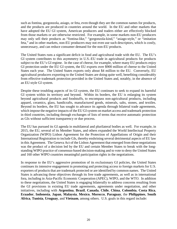such as fontina, gorgonzola, asiago, or feta, even though they are the common names for products, and the products are produced in countries around the world. In the EU and other markets that have adopted the EU GI system, American producers and traders either are effectively blocked from those markets or are otherwise restricted. For example, in some markets non-EU producers may only sell their products as "fontina-like," "gorgonzola-kind," "asiago-style," or "imitation feta," and in other markets, non-EU producers may not even use such descriptors, which is costly, unnecessary, and can reduce consumer demand for the non-EU products.

The United States runs a significant deficit in food and agricultural trade with the EU. The EU's GI system contributes to this asymmetry in U.S.-EU trade in agricultural products for products subject to the EU's GI regime. In the case of cheese, for example, where many EU products enjoy GI protection under the EU GI system, the EU exports over \$900 million of cheese to the United States each year. The United States exports only about \$4 million to the EU. Conversely, EU agricultural producers exporting to the United States are doing quite well, benefiting considerably from effective trademark protection provided in the United States and, notably, in the absence of an EU-style GI system.

Despite these troubling aspects of its GI system, the EU continues to seek to expand its harmful GI system within its territory and beyond. Within its borders, the EU is enlarging its system beyond agricultural products and foodstuffs, to encompass non-agricultural products, including apparel, ceramics, glass, handicrafts, manufactured goods, minerals, salts, stones, and textiles. Beyond its borders, the EU has sought to advance its agenda through bilateral trade agreements, which impose the negative impacts of the EU GI system on market access and trademark protection in third countries, including through exchanges of lists of terms that receive automatic protection as GIs without sufficient transparency or due process.

The EU has pursued its GI agenda in multilateral and plurilateral bodies as well. For example, in 2015, the EU, several of its Member States, and others expanded the World Intellectual Property Organization (WIPO) Lisbon Agreement for the Protection of Appellations of Origin and their International Registration to include GIs, thereby enshrining several detrimental aspects of EU law in this Agreement. The Geneva Act of the Lisbon Agreement that emerged from these negotiations was the product of a decision led by the EU and certain Member States to break with the longstanding WIPO practice of consensus-based decision-making and to vote to deny the United States and 160 other WIPO countries meaningful participation rights in the negotiations.

In response to the EU's aggressive promotion of its exclusionary GI policies, the United States continues its intensive engagement in promoting and protecting access to foreign markets for U.S. exporters of products that are trademark protected or are identified by common names. The United States is advancing these objectives through its free trade agreements, as well as in international fora, including in Asia-Pacific Economic Cooperation (APEC), WIPO, and the WTO. In addition to these negotiations, the United States is engaging bilaterally to address concerns resulting from the GI provisions in existing EU trade agreements, agreements under negotiation, and other initiatives, including with **Argentina**, **Brazil**, **Canada**, **Chile**, **China**, **Colombia**, **Costa Rica**, **Ecuador**, **Indonesia**, **Japan**, **Malaysia**, **Mexico**, **Morocco**, **Paraguay**, the **Philippines**, **South Africa**, **Tunisia**, **Uruguay**, and **Vietnam**, among others. U.S. goals in this regard include: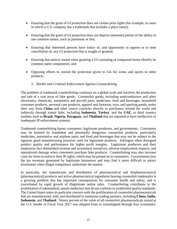- Ensuring that the grant of GI protection does not violate prior rights (for example, in cases in which a U.S. company has a trademark that includes a place name);
- Ensuring that the grant of GI protection does not deprive interested parties of the ability to use common names, such as parmesan or feta;
- Ensuring that interested persons have notice of, and opportunity to oppose or to seek cancellation of, any GI protection that is sought or granted;
- Ensuring that notices issued when granting a GI consisting of compound terms identify its common name components; and
- Opposing efforts to extend the protection given to GIs for wines and spirits to other products.
	- *5. Border and Criminal Enforcement Against Counterfeiting*

The problem of trademark counterfeiting continues on a global scale and involves the production and sale of a vast array of fake goods. Counterfeit goods, including semiconductors and other electronics, chemicals, automotive and aircraft parts, medicines, food and beverages, household consumer products, personal care products, apparel and footwear, toys, and sporting goods, make their way from **China** and other source countries directly to purchasers around the world and indirectly through transit hubs, including **Indonesia**, **Turkey**, and the **UAE**, to third country markets such as **Brazil**, **Nigeria**, **Paraguay**, and **Thailand** that are reported to have ineffective or inadequate IP enforcement systems.

Trademark counterfeiting harms consumers, legitimate producers, and governments. Consumers may be harmed by fraudulent and potentially dangerous counterfeit products, particularly medicines, automotive and airplane parts, and food and beverages that may not be subject to the rigorous good manufacturing practices used for legitimate products. Infringers often disregard product quality and performance for higher profit margins. Legitimate producers and their employees face diminished revenue and investment incentives, adverse employment impacts, and reputational damage when consumers purchase fake products. Counterfeiting may also increase costs for firms to enforce their IP rights, which may be passed on to consumers. Governments lose the tax revenues generated by legitimate businesses and may find it more difficult to attract investment when illegal competitors undermine the market.

In particular, the manufacture and distribution of pharmaceutical and biopharmaceutical (pharmaceutical) products and active pharmaceutical ingredients bearing counterfeit trademarks is a growing problem that has important consequences for consumer health and safety, and is exacerbated by rapid growth of illegitimate online sales. Counterfeiting contributes to the proliferation of substandard, unsafe medicines that do not conform to established quality standards. The United States notes its particular concern with the proliferation of counterfeit pharmaceuticals that are manufactured, sold, and distributed in numerous trading partners, including **China**, **India**, **Indonesia**, and **Thailand**. Ninety percent of the value of all counterfeit pharmaceuticals seized at the U.S. border in Fiscal Year 2017 was shipped from or transshipped through four economies: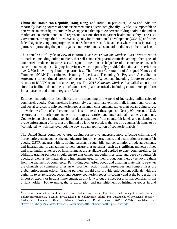**China**, the **Dominican Republic**, **Hong Kong**, and **India**. In particular, China and India are reportedly leading sources of counterfeit medicines distributed globally. While it is impossible to determine an exact figure, studies have suggested that up to 20 percent of drugs sold in the Indian market are counterfeit and could represent a serious threat to patient health and safety. The U.S. Government, through the United States Agency for International Development (USAID) and other federal agencies, supports programs in sub-Saharan Africa, Asia, and elsewhere that assist trading partners in protecting the public against counterfeit and substandard medicines in their markets.

The annual Out-of-Cycle Review of Notorious Markets (*Notorious Markets List*) draws attention to markets, including online markets, that sell counterfeit pharmaceuticals, among other types of counterfeit products. In some cases, this public attention has helped result in concrete action, such as action taken against Nanjing Imperiosus, which reportedly provided domain name services to over 2,300 known illegal online pharmacies. The Internet Corporation of Assigned Names and Numbers (ICANN) terminated Nanjing Imperiosus Technology's Registrar Accreditation Agreement for continued breach of the terms of the Agreement, including failure to provide records to ICANN related to abuse reports. The 2017 *Notorious Markets List* called attention to sites that facilitate the online sale of counterfeit pharmaceuticals, including e-commerce platform Indiamart.com and domain registrar Rebel.

Enforcement authorities face difficulties in responding to the trend of increasing online sales of counterfeit goods. Counterfeiters increasingly use legitimate express mail, international courier, and postal services to ship counterfeit goods in small consignments rather than ocean-going cargo, to evade the efforts of enforcement officials to interdict these goods. Nearly 90 percent of U.S. seizures at the border are made in the express carrier and international mail environments. Counterfeiters also continue to ship products separately from counterfeit labels and packaging to evade enforcement efforts that are limited by laws or practices that require counterfeit items to be "completed" which may overlook the downstream application of counterfeit labels.<sup>[4](#page-21-0)</sup>

The United States continues to urge trading partners to undertake more effective criminal and border enforcement against the manufacture, import, export, transit, and distribution of counterfeit goods. USTR engages with its trading partners through bilateral consultations, trade agreements, and international organizations to help ensure that penalties, such as significant monetary fines and meaningful sentences of imprisonment, are available and applied to deter counterfeiting. In addition, trading partners should ensure that competent authorities seize and destroy counterfeit goods, as well as the materials and implements used for their production, thereby removing them from the channels of commerce. Permitting counterfeit goods and enabling materials to re-enter the channels of commerce after an enforcement action wastes resources and compromises the global enforcement effort. Trading partners should also provide enforcement officials with the authority to seize suspect goods and destroy counterfeit goods in-country and at the border during import or export, or in-transit movement, *ex officio*, without the need for a formal complaint from a right holder. For example, the re-exportation and transshipment of infringing goods in and

 $\overline{\phantom{a}}$ 

<span id="page-21-0"></span><sup>&</sup>lt;sup>4</sup> For more information on these trends and Customs and Border Protection's and Immigration and Customs Enforcement/Homeland Security Investigation's IP enforcement efforts, see Department of Homeland Security, Intellectual Property Rights Seizure Statistics, Fiscal Year 2017 (2018) available at [https://www.cbp.gov/sites/default/files/assets/documents/2018-Feb/trade-fy2017-ipr-seizures.pdf.](https://www.cbp.gov/sites/default/files/assets/documents/2018-Feb/trade-fy2017-ipr-seizures.pdf)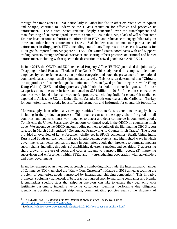through free trade zones (FTZs), particularly in Dubai but also in other emirates such as Ajman and Sharjah, continue to undermine the **UAE**'s reputation for effective and proactive IP enforcement. The United States remains deeply concerned over the transshipment and manufacturing of counterfeit products within certain FTZs in the UAE, a lack of will within some Emirate-level customs authorities to enforce IP in FTZs, and reluctance to engage bilaterally on these and other border enforcement issues. Stakeholders also continue to report a lack of enforcement in **Singapore**'s FTZs, including courts' unwillingness to issue search warrants for illicit goods imported into Singapore's FTZs. The United States coordinates with and supports trading partners through technical assistance and sharing of best practices on criminal and border enforcement, including with respect to the destruction of seized goods (See ANNEX 2).

In June 2017, the OECD and EU Intellectual Property Office (EUIPO) published the joint study "Mapping the Real Routes of Trade in Fake Goods."<sup>[5](#page-22-0)</sup> This study traced the complex trade routes employed by counterfeiters across ten product categories and noted the prevalence of international counterfeit sales through small shipments and parcels. This research determined that "**China** is the top producer of counterfeit goods in nine out of ten analyzed product categories, while **Hong Kong (China)**, **UAE**, and **Singapore** are global hubs for trade in counterfeit goods." In those categories alone, the trade in fakes amounted to \$284 billion in 2013. In certain sectors, other countries were found to be major counterfeit producers, including **India** for counterfeit medicines exported to Africa, the EU, the United States, Canada, South America, and the Caribbean; **Turkey** for counterfeit leather goods, foodstuffs, and cosmetics; and **Indonesia** for counterfeit foodstuffs.

Modern supply chains offer many new opportunities for counterfeits to enter into the supply chain, including in the production process. This practice can taint the supply chain for goods in all countries, and countries must work together to detect and deter commerce in counterfeit goods. To this end, the United States strongly supports continued work in the OECD on countering illicit trade. We encourage the OECD and our trading partners to build off the illuminating OECD report released in March 2018, entitled "Governance Frameworks to Counter Illicit Trade." The report provided an overview of key enforcement challenges in BRICS economies (Brazil, China, India, Russia and South Africa), identified gaps in enforcement systems, and highlighted ways in which governments can better combat the trade in counterfeit goods that threatens to permeate modern supply chains, including through: (1) establishing deterrent sanctions and penalties; (2) addressing sharp growth in the use of postal and courier streams to transport illicit goods; (3) improving supervision and enforcement within FTZs; and (4) strengthening cooperation with stakeholders and other governments.

In another example of an integrated approach to combatting illicit trade, the International Chamber of Commerce (ICC) launched the "Know Your Customer" initiative in 2018 aimed at tackling the problem of counterfeit goods transported by international shipping companies.<sup>[6](#page-22-1)</sup> This initiative promotes a voluntary framework of best practices agreed upon by maritime companies and brands. It emphasizes specific steps that shipping operators can take to ensure they deal only with legitimate customers, including verifying customers' identities, performing due diligence, identifying possible counterfeit shipments, communicating policies against the shipment of

l

<span id="page-22-0"></span><sup>5</sup> OECD/EUIPO (2017), *Mapping the Real Routes of Trade in Fake Goods,* available at [http://dx.doi.org/10.1787/978926478349-en.](http://dx.doi.org/10.1787/978926478349-en)

<span id="page-22-1"></span><sup>6</sup> Se[e https://cdn.iccwbo.org/content/uploads/sites/3/2018/03/kyc-paper-doi-published.pdf](https://cdn.iccwbo.org/content/uploads/sites/3/2018/03/kyc-paper-doi-published.pdf)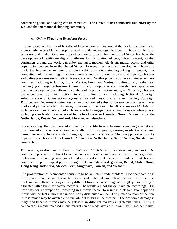counterfeit goods, and taking certain remedies. The United States commends this effort by the ICC and the international shipping community.

#### *6. Online Piracy and Broadcast Piracy*

The increased availability of broadband Internet connections around the world, combined with increasingly accessible and sophisticated mobile technology, has been a boon to the U.S. economy and trade. One key area of economic growth for the United States has been the development of legitimate digital platforms for distribution of copyrighted content, so that consumers around the world can enjoy the latest movies, television, music, books, and other copyrighted content from the United States. However, technological developments have also made the Internet an extremely efficient vehicle for disseminating infringing content, thus competing unfairly with legitimate e-commerce and distribution services that copyright holders and online platforms use to deliver licensed content. While optical disc piracy continues in many countries, including in **China**, **India**, **Mexico**, **Peru**, and **Vietnam**, online piracy is the most challenging copyright enforcement issue in many foreign markets. Stakeholders report some positive developments on efforts to combat online piracy. For example, in China, right holders are encouraged by initial actions to curb online piracy, including National Copyright Administration of China action against unlicensed music platforms and Beijing Copyright Enforcement Department action against an unauthorized subscription service offering online ebooks and journal articles. However, more needs to be done. The 2017 *[Notorious Markets](https://ustr.gov/sites/default/files/USTR-2015-Out-of-Cycle-Review-Notorious-Markets-Final.pdf) List* includes examples of online marketplaces reportedly engaging in commercial-scale online piracy, including sites hosted in or operated by parties located in **Canada**, **China**, **Cyprus**, **India**, the **Netherlands**, **Russia**, **Switzerland**, **Ukraine**, and elsewhere.

Stream-ripping, the unauthorized converting of a file from a licensed streaming site into an unauthorized copy, is now a dominant method of music piracy, causing substantial economic harm to music creators and undermining legitimate online services. Stream-ripping is reportedly popular in countries such as **Canada**, **Mexico**, the **Netherlands**, **Saudi Arabia**, **Sweden**, and **Switzerland**.

Furthermore, as discussed in the 2017 *Notorious Markets List*, illicit streaming devices (ISDs) continue to pose a direct threat to content creators, sports leagues, and live performances, as well as legitimate streaming, on-demand, and over-the-top media service providers. Stakeholders continue to report rampant piracy through ISDs, including in **Argentina**, **Brazil**, **Chile**, **China**, **Hong Kong**, **Indonesia**, **Mexico**, **Peru**, **Singapore**, **Taiwan**, and **Vietnam**.

The proliferation of "camcords" continues to be an urgent trade problem. Illicit camcording is the primary source of unauthorized copies of newly released movies found online. The recordings made in movie theaters today are very different from the dated image of a single person sitting in a theater with a bulky videotape recorder. The results are not shaky, inaudible recordings. It is now easy for a surreptitious recording in a movie theater to result in a clean digital copy of a movie with perfect audio that can be quickly distributed online. The pirated version of the new release movie may be available online while it is still in the theaters. The economic damage is magnified because movies may be released in different markets at different times. Thus, a camcord of a movie released in one market can be made available unlawfully in another market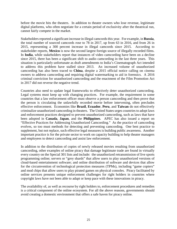before the movie hits the theaters. In addition to theater owners who lose revenue, legitimate digital platforms, who often negotiate for a certain period of exclusivity after the theatrical run, cannot fairly compete in the market.

Stakeholders reported a significant increase in illegal camcords this year. For example, in **Russia**, the total number of sourced camcords rose to 78 in 2017, up from 63 in 2016, and from 26 in 2015, representing a 300 percent increase in illegal camcords since 2015. According to stakeholder reports, **Mexico** is now the second largest foreign source of illegally recorded films. In **India**, while stakeholders report that instances of video camcording have been on a decline since 2015, there has been a significant shift to audio camcording in the last three years. This situation is particularly unfortunate as draft amendments to India's Cinematograph Act intended to address this problem have stalled since 2013. An increased volume of unauthorized camcording has also been traced to **China**, despite a 2015 official notice calling on cinema owners to address camcording and requiring digital watermarking to aid in forensics. A 2016 criminal conviction for unauthorized camcording and the enactment of the Film Promotion Act in 2017 did not reverse the negative trend.

Countries also need to update legal frameworks to effectively deter unauthorized camcording. Legal systems must keep up with changing practices. For example, the requirement in some countries that a law enforcement officer must observe a person camcording and then prove that the person is circulating the unlawfully recorded movie before intervening, often precludes effective enforcement. Economies like **Brazil**, **Ecuador**, **Peru**, and **Taiwan** do not effectively criminalize unauthorized camcording in theaters. The United States urges countries to adopt laws and enforcement practices designed to prevent unauthorized camcording, such as laws that have been adopted in **Canada**, **Japan**, and the **Philippines**. APEC has also issued a report on "Effective Practices for Addressing Unauthorized Camcording." As the practice of camcording evolves, so too must methods for detecting and preventing camcording. One best practice to supplement, but not replace, such effective legal measures is building public awareness. Another important practice is for the private sector to work on capacity building to help theater managers and employees to detect camcording and assist law enforcement.

In addition to the distribution of copies of newly released movies resulting from unauthorized camcording, other examples of online piracy that damage legitimate trade are found in virtually every country on the Special 301 lists and include: the unauthorized retransmission of live sports programming online; servers or "grey shards" that allow users to play unauthorized versions of cloud-based entertainment software; and online distribution of software and devices that allow for the circumvention of technological protection measures (TPMs), including "game copiers" and mod chips that allow users to play pirated games on physical consoles. Piracy facilitated by online services presents unique enforcement challenges for right holders in countries where copyright laws have not been able to adapt or keep pace with these innovations in piracy.

The availability of, as well as recourse by right holders to, enforcement procedures and remedies is a critical component of the online ecosystem. For all the above reasons, governments should avoid creating a domestic environment that offers a safe haven for piracy online.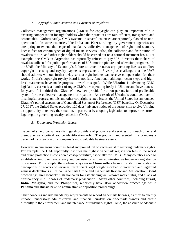#### *7. Copyright Administration and Payment of Royalties*

Collective management organizations (CMOs) for copyright can play an important role in ensuring compensation for right holders when their practices are fair, efficient, transparent, and accountable. Unfortunately, CMO systems in several countries are reportedly flawed or nonoperational. In some countries, like **India** and **Korea**, rulings by government agencies are attempting to extend the scope of mandatory collective management of rights and statutory license fees for certain types of digital music services. Also, the collection and distribution of royalties to U.S. and other right holders should be carried out on a national treatment basis. For example, one CMO in **Argentina** has reportedly refused to pay U.S. directors their share of royalties collected for public performances of U.S. motion picture and television programs. In the **UAE**, the Ministry of Economy's failure to issue the necessary operating licenses to allow copyright licensing and royalty payments represents a 15-year-plus challenge that the UAE should address without further delay so that right holders can receive compensation for their works. **India**'s copyright royalty board is not fully functional, although recent steps and highlevel statements have made progress toward this goal. While **Ukraine** is advancing CMO legislation, currently a number of rogue CMOs are operating freely in Ukraine and have done so for years. It is critical that Ukraine's new law provide for a transparent, fair, and predictable system for the collective management of royalties. As a result of Ukraine's continued lack of meaningful progress on this and other copyright-related issues, the United States has announced Ukraine's partial suspension of Generalized System of Preferences (GSP) benefits. On December 27, 2017, the United States provided 120 days' advance notice of the suspension to give Ukraine an opportunity to remedy the situation, in particular by adopting legislation to improve the current legal regime governing royalty collection CMOs.

#### *8. Trademark Protection Issues*

Trademarks help consumers distinguish providers of products and services from each other and thereby serve a critical source identification role. The goodwill represented in a company's trademark is often one of a company's most valuable business assets.

However, in numerous countries, legal and procedural obstacles exist to securing trademark rights. For example, the **UAE** reportedly institutes the highest trademark registration fees in the world and brand protection is considered cost-prohibitive, especially for SMEs. Many countries need to establish or improve transparency and consistency in their administrative trademark registration procedures. For example, the trademark system in **China** suffers from inflexibility in relation to descriptions of goods and services, insufficient legal weight ascribed to notarized and legalized witness declarations in China Trademark Office and Trademark Review and Adjudication Board proceedings, unreasonably high standards for establishing well-known mark status, and a lack of transparency in all phases of trademark prosecution. Many other countries, including **Brazil**, **India**, **Malaysia**, and the **Philippines**, reportedly have slow opposition proceedings while **Panama** and **Russia** have no administrative opposition proceedings.

Other concerns include mandatory requirements to record trademark licenses, as they frequently impose unnecessary administrative and financial burdens on trademark owners and create difficulty in the enforcement and maintenance of trademark rights. Also, the absence of adequate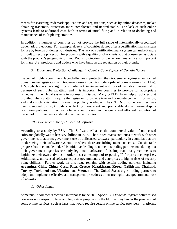means for searching trademark applications and registrations, such as by online databases, makes obtaining trademark protection more complicated and unpredictable. The lack of such online systems leads to additional cost, both in terms of initial filing and in relation to docketing and maintenance of multiple registrations.

In addition, a number of countries do not provide the full range of internationally-recognized trademark protections. For example, dozens of countries do not offer a certification mark system for use by foreign or domestic industries. The lack of a certification mark system can make it more difficult to secure protection for products with a quality or characteristic that consumers associate with the product's geographic origin. Robust protection for well-known marks is also important for many U.S. producers and traders who have built up the reputation of their brands.

#### *9. Trademark Protection Challenges in Country Code Top-Level Domain Names*

Trademark holders continue to face challenges in protecting their trademarks against unauthorized domain name registration and trademark uses in country code top-level domain names (ccTLDs). U.S. right holders face significant trademark infringement and loss of valuable Internet traffic because of such cybersquatting, and it is important for countries to provide for appropriate remedies in their legal systems to address this issue. Many ccTLDs have helpful policies that prohibit cybersquatting; require the registrant to provide true and complete contact information; and make such registration information publicly available. The ccTLDs of some countries have been identified by right holders as lacking transparent and predictable domain name dispute resolution policies. Effective policies should assist in the quick and efficient resolution of trademark infringement-related domain name disputes.

#### *10. Government Use of Unlicensed Software*

According to a study by BSA | The Software Alliance, the commercial value of unlicensed software globally was at least \$52 billion in 2015. The United States continues to work with other governments to address government use of unlicensed software, particularly in countries that are modernizing their software systems or where there are infringement concerns. Considerable progress has been made under this initiative, leading to numerous trading partners mandating that their government agencies use only legitimate software. It is important for governments to legitimize their own activities in order to set an example of respecting IP for private enterprises. Additionally, unlicensed software exposes governments and enterprises to higher risks of security vulnerabilities. Further work on this issue remains with certain trading partners, including **Argentina**, **Chile**, **China**, **Costa Rica**, **Greece**, **Kazakhstan**, **Korea**, **Tajikistan**, **Thailand**, **Turkey**, **Turkmenistan**, **Ukraine**, and **Vietnam**. The United States urges trading partners to adopt and implement effective and transparent procedures to ensure legitimate governmental use of software.

#### *11. Other Issues*

Some public comments received in response to the 2018 Special 301 *Federal Register* notice raised concerns with respect to laws and legislative proposals in the EU that may hinder the provision of some online services, such as laws that would require certain online service providers—platforms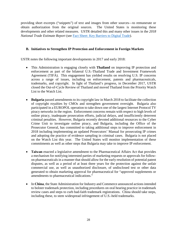providing short excerpts ("snippets") of text and images from other sources—to remunerate or obtain authorization from the original sources. The United States is monitoring these developments and other related measures. USTR detailed this and many other issues in the *[2018](https://ustr.gov/sites/default/files/2016-NTE-Report-FINAL.pdf)  National Trade [Estimate Report](https://ustr.gov/sites/default/files/2016-NTE-Report-FINAL.pdf)* (see [Fact Sheet: Key Barriers to Digital Trade\)](https://ustr.gov/about-us/policy-offices/press-office/fact-sheets/2018/march/2018-fact-sheet-key-barriers-digital).

#### **B. Initiatives to Strengthen IP Protection and Enforcement in Foreign Markets**

USTR notes the following important developments in 2017 and early 2018:

- This Administration is engaging closely with **Thailand** on improving IP protection and enforcement as part of the bilateral U.S.-Thailand Trade and Investment Framework Agreement (TIFA). This engagement has yielded results on resolving U.S. IP concerns across a range of issues, including on enforcement, patents and pharmaceuticals, trademarks, and copyright. In light of Thailand's progress, in December 2017, USTR closed the Out-of-Cycle Review of Thailand and moved Thailand from the Priority Watch List to the Watch List.
- **Bulgaria** passed amendments to its copyright law in March 2018 to facilitate the collection of copyright royalties by CMOs and strengthen government oversight. Bulgaria also participated in a EUROPOL operation to take down one of the largest Internet Protocol TV piracy networks in the region. Enforcement concerns remain with respect to high levels of online piracy, inadequate prosecution efforts, judicial delays, and insufficiently deterrent criminal penalties. However, Bulgaria recently devoted additional resources to the Cyber Crime Unit to investigate online piracy, and Bulgaria, including the Office of the Prosecutor General, has committed to taking additional steps to improve enforcement in 2018 including implementing an updated Prosecutors' Manual for prosecuting IP crimes and adopting the practice of evidence sampling in criminal cases. Bulgaria is not placed on the Watch List this year. The United States will monitor implementation of these commitments as well as other steps that Bulgaria may take to improve IP enforcement.
- **Taiwan** enacted a legislative amendment to the Pharmaceutical Affairs Act that provides a mechanism for notifying interested parties of marketing requests or approvals for followon pharmaceuticals in a manner that should allow for the early resolution of potential patent disputes, as well as a period of at least three years for the protection against the unfair commercial use, as well as unauthorized disclosure, of undisclosed test or other data generated to obtain marketing approval for pharmaceutical for "approved supplements or amendments to pharmaceutical indications."
- In **China**, the State Administration for Industry and Commerce announced actions intended to bolster trademark protection, including procedures on oral hearing practice in trademark review cases and steps to curb bad-faith trademark registrations. China should take steps, including these, to stem widespread infringement of U.S.-held trademarks.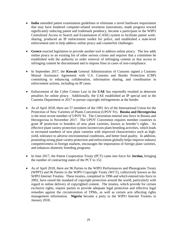- **India** amended patent examination guidelines to eliminate a novel hardware requirement that may have hindered computer-related invention innovations, made progress toward significantly reducing patent and trademark pendency, became a participant in the WIPO Centralized Access to Search and Examination (CASE) system to facilitate patent worksharing, produced an IP enforcement toolkit for police, and established a state-level enforcement unit to help address online piracy and counterfeit challenges.
- **Greece** enacted legislation to provide another tool to address online piracy. The law adds online piracy to an existing list of other serious crimes and requires that a committee be established with the authority to order removal of infringing content or that access to infringing content be discontinued and to impose fines in cases of non-compliance.
- In September 2017, the **Kuwait** General Administration of Customs signed a Customs Mutual Assistance Agreement with U.S. Customs and Border Protection (CBP) committing to enhancing collaboration, information sharing, and coordination in enforcement actions, including on IP cases.
- Enforcement of the Cyber Crimes Law in the **UAE** has reportedly resulted in deterrent penalties for online piracy. Additionally, the UAE established an IP special unit in the Customs Department in 2017 to pursue copyright infringements at the border.
- As of April 2018, there are 57 members of the 1991 Act of the International Union for the Protection of New Varieties of Plants Convention (UPOV 91). **Bosnia and Herzegovina** is the most recent member of UPOV 91. The Convention entered into force in Bosnia and Herzegovina in November 2017. The UPOV Convention requires member countries to grant IP protection to breeders of new plant varieties, known as breeder's rights. An effective plant variety protection system incentivizes plant-breeding activities, which leads to increased numbers of new plant varieties with improved characteristics such as highyield, tolerance to adverse environmental conditions, and better food quality. In addition, promoting strong plant variety protection and enforcement globally helps improve industry competitiveness in foreign markets, encourages the importation of foreign plant varieties, and enhances domestic breeding programs.
- In June 2017, the Patent Cooperation Treaty (PCT) came into force for **Jordan,** bringing the number of contracting states of the PCT to 152.
- As of April 2018, there are 96 Parties to the WIPO Performances and Phonograms Treaty (WPPT) and 96 Parties to the WIPO Copyright Treaty (WCT), collectively known as the WIPO Internet Treaties. These treaties, completed in 1996 and which entered into force in 2002, have raised the standard of copyright protection around the world, particularly with regard to online delivery of copyrighted content. The treaties, which provide for certain exclusive rights, require parties to provide adequate legal protection and effective legal remedies against the circumvention of TPMs, as well as certain acts affecting rights management information. **Nigeria** became a party to the WIPO Internet Treaties in January 2018.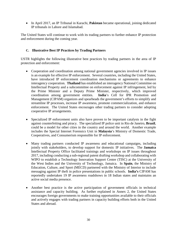• In April 2017, an IP Tribunal in Karachi, **Pakistan** became operational, joining dedicated IP tribunals in Lahore and Islamabad.

The United States will continue to work with its trading partners to further enhance IP protection and enforcement during the coming year.

#### **C. Illustrative Best IP Practices by Trading Partners**

USTR highlights the following illustrative best practices by trading partners in the area of IP protection and enforcement:

- Cooperation and coordination among national government agencies involved in IP issues is an example for effective IP enforcement. Several countries, including the United States, have introduced IP enforcement coordination mechanisms or agreements to enhance interagency cooperation. **Thailand** has established an interagency National Committee on Intellectual Property and a subcommittee on enforcement against IP infringement, led by the Prime Minister and a Deputy Prime Minister, respectively, which improved coordination among government entities. **India**'s Cell for IPR Promotion and coordination among government entities. Management (CIPAM) organizes and spearheads the government's efforts to simplify and streamline IP processes, increase IP awareness, promote commercialization, and enhance enforcement. The United States encourages other trading partners to consider adopting cooperative IP arrangements.
- Specialized IP enforcement units also have proven to be important catalysts in the fight against counterfeiting and piracy. The specialized IP police unit in Rio de Janeiro, **Brazil**, could be a model for other cities in the country and around the world. Another example includes the Special Internet Forensics Unit in **Malaysia**'s Ministry of Domestic Trade, Cooperatives, and Consumerism responsible for IP enforcement.
- Many trading partners conducted IP awareness and educational campaigns, including jointly with stakeholders, to develop support for domestic IP initiatives. The **Jamaica** Intellectual Property Office facilitated trainings and workshops on IP issues throughout 2017, including conducting a sub-regional patent drafting workshop and collaborating with WIPO to establish a Technology Innovation Support Center (TISC) at the University of the West Indies and the University of Technology, Jamaica. In **Spain**, the Ministry of Education, Culture, and Sport (MECD) partnered with the Ministry of Interior to include messaging against IP theft in police presentations in public schools. **India's** CIPAM has reportedly undertaken 19 IP awareness roadshows in 18 Indian states and maintains an active social media presence.
- Another best practice is the active participation of government officials in technical assistance and capacity building. As further explained in Annex 2, the United States encourages foreign governments to make training opportunities available to their officials and actively engages with trading partners in capacity building efforts both in the United States and abroad.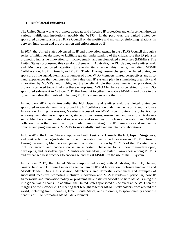#### **D. Multilateral Initiatives**

The United States works to promote adequate and effective IP protection and enforcement through various multilateral institutions, notably the **WTO**. In the past year, the United States cosponsored discussions in the TRIPS Council on the positive and mutually-reinforcing relationship between innovation and the protection and enforcement of IP.

In 2017, the United States advanced its IP and Innovation agenda in the TRIPS Council through a series of initiatives designed to facilitate greater understanding of the critical role that IP plays in promoting inclusive innovation for micro-, small-, and medium-sized enterprises (MSMEs). The United States cosponsored this year-long theme with **Australia**, the **EU**, **Japan**, and **Switzerland**, and Members dedicated attention to agenda items under this theme, including MSME Collaboration, MSME Growth, and MSME Trade. During these exchanges, the United States, cosponsors of the agenda item, and a number of other WTO Members shared perspectives and firsthand experiences that demonstrated the value that IP systems play in stimulating creativity and innovation by MSMEs, and highlighted the beneficial role that governments can play through programs targeted toward helping these enterprises. WTO Members also benefited from a U.S. sponsored side-event in October 2017 that brought together innovative MSMEs and those in the government directly involved in helping MSMEs commercialize their IP.

In February 2017, with **Australia**, the **EU**, **Japan**, and **Switzerland,** the United States cosponsored an agenda item that explored MSME collaboration under the theme of IP and Inclusive Innovation. During the sessions, Members discussed how MSMEs contribute to the global trading economy, including as entrepreneurs, start-ups, businesses, researchers, and investors. A diverse set of Members shared national experiences and examples of inclusive innovation and MSME collaboration in their countries, in particular demonstrating how IP frameworks and innovation policies and programs assist MSMEs to successfully build and maintain collaborations.

In June 2017, the United States cosponsored with **Australia**, **Canada**, the **EU**, **Japan**, **Singapore**, and **Switzerland** an agenda item on IP and Innovation: Inclusive Innovation and MSME Growth. During the session, Members recognized that underutilization by MSMEs of the IP system as a tool for growth and cooperation is an important challenge for all countries—developed, developing, and least-developed. Members discussed ways to foster IP awareness among MSMEs and exchanged best practices to encourage and assist MSMEs in the use of the IP system.

In October 2017, the United States cosponsored along with **Australia**, the **EU, Japan**, **Switzerland**, and **Chinese Taipei** an agenda item on IP and Innovation: Inclusive Innovation and MSME Trade. During this session, Members shared domestic experiences and examples of successful measures promoting inclusive innovation and MSME trade—in particular, how IP frameworks and innovation policy or programs have assisted MSMEs to help MSMEs integrate into global value chains. In addition, the United States sponsored a side event at the WTO on the margins of the October 2017 meeting that brought together MSME stakeholders from around the world, including from Indonesia, Israel, South Africa, and Colombia, to speak directly about the benefits of IP to promoting MSME development.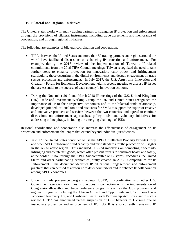#### **E. Bilateral and Regional Initiatives**

The United States works with many trading partners to strengthen IP protection and enforcement through the provisions of bilateral instruments, including trade agreements and memoranda of cooperation, and through regional initiatives.

The following are examples of bilateral coordination and cooperation:

- TIFAs between the United States and more than 50 trading partners and regions around the world have facilitated discussions on enhancing IP protection and enforcement. For example, during the 2017 review of the implementation of **Taiwan**'s IP-related commitments from the 2016 TIFA Council meetings, Taiwan recognized the need to take further steps to enhance protection for innovation, curb piracy and infringement (particularly those occurring in the digital environment), and deepen engagement on trade secrets protection and enforcement. In July 2017, the U.S.-**Argentina** Innovation and Creativity Forum for Economic Development held its second meeting to discuss IP issues that are essential to the success of each country's innovation economy.
- During the November 2017 and March 2018 IP meetings of the U.S.-**United Kingdom**  (UK) Trade and Investment Working Group, the UK and United States recognized the importance of IP to their respective economies and to the bilateral trade relationship, developed joint educational tools and resources for SMEs to support the export of creative and innovative products and services between the two countries, and agreed to continue discussions on enforcement approaches, policy tools, and voluntary initiatives for addressing online piracy, including the emerging challenge of ISDs.

Regional coordination and cooperation also increase the effectiveness of engagement on IP protection and enforcement challenges that extend beyond individual jurisdictions:

- In 2017, the United States continued to use the **APEC** Intellectual Property Experts Group and other APEC sub-fora to build capacity and raise standards for the protection of IP rights in the Asia-Pacific region. This included U.S.-led initiatives on combating trademarkinfringing and counterfeit goods, which often present threats to consumer health and safety, at the border. Also, through the APEC Subcommittee on Customs Procedures, the United States and other participating economies jointly created an APEC Compendium for IP Enforcement. The document identifies IP educational, engagement, and enforcement practices that can be used as a resource to deter counterfeits and to enhance IP collaboration among APEC economies.
- Under its trade preference program reviews, USTR, in coordination with other U.S. Government agencies, examines IP practices in connection with the implementation of Congressionally-authorized trade preference programs, such as the GSP program, and regional programs, including the African Growth and Opportunity Act, Caribbean Basin Economic Recovery Act, and Caribbean Basin Trade Partnership Act. Pursuant to such a review, USTR has announced partial suspension of GSP benefits to **Ukraine** due to inadequate protection and enforcement of IP. USTR is also currently reviewing IP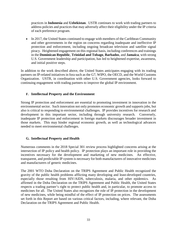practices in **Indonesia** and **Uzbekistan**. USTR continues to work with trading partners to address policies and practices that may adversely affect their eligibility under the IP criteria of each preference program.

• In 2017, the United States continued to engage with members of the Caribbean Community and other governments in the region on concerns regarding inadequate and ineffective IP protection and enforcement, including ongoing broadcast television and satellite signal piracy. Heightened engagement on this regional basis, including conferences and trainings in the **Dominican Republic**, **Trinidad and Tobago**, **Barbados**, and **Jamaica**, with strong U.S. Government leadership and participation, has led to heightened expertise, awareness, and initial positive steps.

In addition to the work described above, the United States anticipates engaging with its trading partners on IP-related initiatives in fora such as the G7, WIPO, the OECD, and the World Customs Organization. USTR, in coordination with other U.S. Government agencies, looks forward to continuing engagement with trading partners to improve the global IP environment.

#### **F. Intellectual Property and the Environment**

Strong IP protection and enforcement are essential to promoting investment in innovation in the environmental sector. Such innovation not only promotes economic growth and supports jobs, but also is critical to responding to environmental challenges. IP provides incentives for research and development in this important sector, including through university research. Conversely, inadequate IP protection and enforcement in foreign markets discourages broader investment in those markets. This may hinder regional economic growth, as well as technological advances needed to meet environmental challenges.

#### **G. Intellectual Property and Health**

Numerous comments in the 2018 Special 301 review process highlighted concerns arising at the intersection of IP policy and health policy. IP protection plays an important role in providing the incentives necessary for the development and marketing of new medicines. An effective, transparent, and predictable IP system is necessary for both manufacturers of innovative medicines and manufacturers of generic medicines.

The 2001 WTO Doha Declaration on the TRIPS Agreement and Public Health recognized the gravity of the public health problems afflicting many developing and least-developed countries, especially those resulting from HIV/AIDS, tuberculosis, malaria, and other epidemics. As affirmed in the Doha Declaration on the TRIPS Agreement and Public Health, the United States respects a trading partner's right to protect public health and, in particular, to promote access to medicines for all. The United States also recognizes the role of IP protection in the development of new medicines, while being mindful of the effect of IP protection on prices. The assessments set forth in this Report are based on various critical factors, including, where relevant, the Doha Declaration on the TRIPS Agreement and Public Health.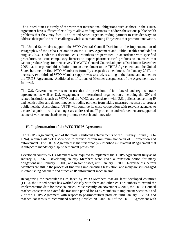The United States is firmly of the view that international obligations such as those in the TRIPS Agreement have sufficient flexibility to allow trading partners to address the serious public health problems that they may face. The United States urges its trading partners to consider ways to address their public health challenges while also maintaining IP systems that promote innovation.

The United States also supports the WTO General Council Decision on the Implementation of Paragraph 6 of the Doha Declaration on the TRIPS Agreement and Public Health concluded in August 2003. Under this decision, WTO Members are permitted, in accordance with specified procedures, to issue compulsory licenses to export pharmaceutical products to countries that cannot produce drugs for themselves. The WTO General Council adopted a Decision in December 2005 that incorporated this solution into an amendment to the TRIPS Agreement, and the United States became the first WTO Member to formally accept this amendment. In January 2017, the necessary two-thirds of WTO Member support was secured, resulting in the formal amendment to the TRIPS Agreement. Additional notifications of Member acceptances of the Agreement have followed.

The U.S. Government works to ensure that the provisions of its bilateral and regional trade agreements, as well as U.S. engagement in international organizations, including the UN and related institutions such as WIPO and the WHO, are consistent with U.S. policies concerning IP and health policy and do not impede its trading partners from taking measures necessary to protect public health. Accordingly, USTR will continue its close cooperation with relevant agencies to ensure that public health challenges are addressed and IP protection and enforcement are supported as one of various mechanisms to promote research and innovation.

#### **H. Implementation of the WTO TRIPS Agreement**

The TRIPS Agreement, one of the most significant achievements of the Uruguay Round (1986- 1994), requires all WTO Members to provide certain minimum standards of IP protection and enforcement. The TRIPS Agreement is the first broadly-subscribed multilateral IP agreement that is subject to mandatory dispute settlement provisions.

Developed country WTO Members were required to implement the TRIPS Agreement fully as of January 1, 1996. Developing country Members were given a transition period for many obligations until January 1, 2000, and in some cases, until January 1, 2005. Nevertheless, certain Members are still in the process of finalizing implementing legislation, and many are still engaged in establishing adequate and effective IP enforcement mechanisms.

Recognizing the particular issues faced by WTO Members that are least-developed countries (LDC), the United States has worked closely with them and other WTO Members to extend the implementation date for these countries. Most recently, on November 6, 2015, the TRIPS Council reached consensus to extend the transition period for LDC Members to implement Sections 5 and 7 of the TRIPS Agreement with respect to pharmaceutical products until January 1, 2033, and reached consensus to recommend waiving Articles 70.8 and 70.9 of the TRIPS Agreement with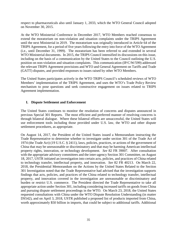respect to pharmaceuticals also until January 1, 2033, which the WTO General Council adopted on November 30, 2015.

At the WTO Ministerial Conference in December 2017, WTO Members reached consensus to extend the moratorium on non-violation and situation complaints under the TRIPS Agreement until the next Ministerial in 2019. The moratorium was originally introduced in Article 64 of the TRIPS Agreement, for a period of five years following the entry into force of the WTO Agreement (i.e., until December 31, 1999). The moratorium has been referred to and extended in several WTO Ministerial documents. In 2015, the TRIPS Council intensified its discussions on this issue, including on the basis of a communication by the United States to the Council outlining the U.S. position on non-violation and situation complaints. This communication (IP/C/W/599) addressed the relevant TRIPS Agreement provisions and WTO and General Agreement on Tariffs and Trade (GATT) disputes, and provided responses to issues raised by other WTO Members.

The United States participates actively in the WTO TRIPS Council's scheduled reviews of WTO Members' implementation of the TRIPS Agreement, and uses the WTO's Trade Policy Review mechanism to pose questions and seek constructive engagement on issues related to TRIPS Agreement implementation.

#### **I. Dispute Settlement and Enforcement**

The United States continues to monitor the resolution of concerns and disputes announced in previous Special 301 Reports. The most efficient and preferred manner of resolving concerns is through bilateral dialogue. Where these bilateral efforts are unsuccessful, the United States will use enforcement tools including those provided under U.S. law, the WTO and other dispute settlement procedures, as appropriate.

On August 14, 2017, the President of the United States issued a Memorandum instructing the Trade Representative to determine whether to investigate under section 301 of the Trade Act of 1974 (the Trade Act) (19 U.S.C. § 2411), laws, policies, practices, or actions of the government of China that may be unreasonable or discriminatory and that may be harming American intellectual property rights, innovation, or technology development. *See* 82 FR 39007. After consultation with the appropriate advisory committees and the inter-agency Section 301 Committee, on August 18, 2017, USTR initiated an investigation into certain acts, policies, and practices of China related to technology transfer, intellectual property, and innovation. *See* 82 FR 40213. On March 22, 2018, the Presidential Memorandum on the Actions by the United States Related to the Section 301 Investigation noted that the Trade Representative had advised that the investigation supports findings that acts, policies, and practices of the China related to technology transfer, intellectual property, and innovation covered in the investigation are unreasonable or discriminatory and burden or restrict U.S. commerce. The President directed the Trade Representative to take all appropriate action under Section 301, including considering increased tariffs on goods from China and pursuing dispute settlement proceedings in the WTO. On March 23, 2018, the United States requested consultations with China under the WTO Dispute Resolution Understanding (in matter DS542), and on April 3, 2018, USTR published a proposed list of products imported from China, worth approximately \$50 billion in imports, that could be subject to additional tariffs. Additional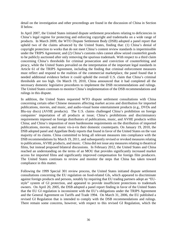detail on the investigation and other proceedings are found in the discussion of China in Section II below.

In April 2007, the United States initiated dispute settlement procedures relating to deficiencies in China's legal regime for protecting and enforcing copyright and trademarks on a wide range of products. In March 2009, the WTO Dispute Settlement Body (DSB) adopted a panel report that upheld two of the claims advanced by the United States, finding that: (1) China's denial of copyright protection to works that do not meet China's content review standards is impermissible under the TRIPS Agreement; and (2) China's customs rules cannot allow seized counterfeit goods to be publicly auctioned after only removing the spurious trademark. With respect to a third claim concerning China's thresholds for criminal prosecution and conviction of counterfeiting and piracy, while the United States prevailed on the interpretation of the important legal standards in Article 61 of the TRIPS Agreement, including the finding that criminal enforcement measures must reflect and respond to the realities of the commercial marketplace, the panel found that it needed additional evidence before it could uphold the overall U.S. claim that China's criminal thresholds are too high. On March 19, 2010, China announced that it had completed all the necessary domestic legislative procedures to implement the DSB recommendations and rulings. The United States continues to monitor China's implementation of the DSB recommendations and rulings in this dispute.

In addition, the United States requested WTO dispute settlement consultations with China concerning certain other Chinese measures affecting market access and distribution for imported publications, movies, and music, and audio-visual home entertainment products (e.g., DVDs and Blu-ray discs) (AVHE products). The U.S. claims challenged China's prohibition on foreign companies' importation of all products at issue; China's prohibitions and discriminatory requirements imposed on foreign distributors of publications, music, and AVHE products within China; and China's imposition of more burdensome requirements on the distribution of imported publications, movies, and music vis-à-vis their domestic counterparts. On January 19, 2010, the DSB adopted panel and Appellate Body reports that found in favor of the United States on the vast majority of its claims. China committed to bring all relevant measures into compliance with the DSB recommendations by March 19, 2011, and subsequently revised or revoked measures relating to publications, AVHE products, and music. China did not issue any measures relating to theatrical films, but instead proposed bilateral discussions. In February 2012, the United States and China reached an understanding on the terms of an MOU that provides significantly increased market access for imported films and significantly improved compensation for foreign film producers. The United States continues to review and monitor the steps that China has taken toward compliance in this matter.

Following the 1999 Special 301 review process, the United States initiated dispute settlement consultations concerning the EU regulation on food-related GIs, which appeared to discriminate against foreign products and persons, notably by requiring that EU trading partners adopt an "EUstyle" system of GI protection, and appeared to provide insufficient protections to trademark owners. On April 20, 2005, the DSB adopted a panel report finding in favor of the United States that the EU GI regulation is inconsistent with the EU's obligations under the TRIPS Agreement and the General Agreement on Tariffs and Trade 1994. On March 31, 2006, the EU published a revised GI Regulation that is intended to comply with the DSB recommendations and rulings. There remain some concerns, however, with respect to this revised GI Regulation, which the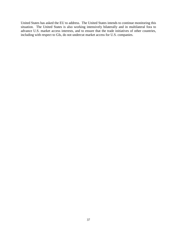United States has asked the EU to address. The United States intends to continue monitoring this situation. The United States is also working intensively bilaterally and in multilateral fora to advance U.S. market access interests, and to ensure that the trade initiatives of other countries, including with respect to GIs, do not undercut market access for U.S. companies.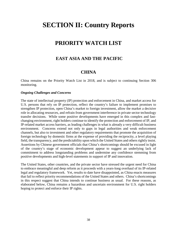# **SECTION II: Country Reports**

# **PRIORITY WATCH LIST**

### **EAST ASIA AND THE PACIFIC**

### **CHINA**

China remains on the Priority Watch List in 2018, and is subject to continuing Section 306 monitoring.

#### *Ongoing Challenges and Concerns*

The state of intellectual property (IP) protection and enforcement in China, and market access for U.S. persons that rely on IP protection, reflect the country's failure to implement promises to strengthen IP protection, open China's market to foreign investment, allow the market a decisive role in allocating resources, and refrain from government interference in private sector technology transfer decisions. While some positive developments have emerged in this complex and fastchanging environment, right holders continue to identify the protection and enforcement of IP, and IP-related market access barriers, as leading challenges in what is already a very difficult business environment. Concerns extend not only to gaps in legal authorities and weak enforcement channels, but also to investment and other regulatory requirements that promote the acquisition of foreign technology by domestic firms at the expense of providing the reciprocity, a level playing field, the transparency, and the predictability upon which the United States and others rightly insist. Assertions by Chinese government officials that China's shortcomings should be excused in light of the country's stage of economic development appear to suggest an underlying lack of commitment to address longstanding problems and undermine any confidence stemming from positive developments and high-level statements in support of IP and innovation.

The United States, other countries, and the private sector have stressed the urgent need for China to embrace meaningful and deep reform as it proceeds with a years-long overhaul of its IP-related legal and regulatory framework. Yet, results to date have disappointed, as China enacts measures that fail to reflect priority recommendations of the United States and others. China's shortcomings in this respect suggest that China intends to continue business as usual. For these reasons, as elaborated below, China remains a hazardous and uncertain environment for U.S. right holders hoping to protect and enforce their IP rights.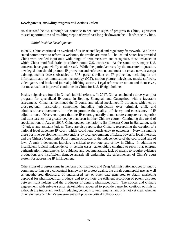#### *Developments, Including Progress and Actions Taken*

As discussed below, although we continue to see some signs of progress in China, significant missed opportunities and troubling steps backward cast long shadows on the IP landscape in China.

#### *Initial Positive Developments*

In 2017, China continued an overhaul of its IP-related legal and regulatory framework. While the stated commitment to reform is welcome, the results are mixed. The United States has provided China with detailed input on a wide range of draft measures and recognizes those instances in which China modified drafts to address some U.S. concerns. At the same time, major U.S. concerns have gone wholly unaddressed. While the particulars vary by the measure in question, new legislation should promote IP protection and enforcement, and must not create new, or accept existing, market access obstacles to U.S. persons reliant on IP protection, including in the information and communications technology (ICT), motion picture, television, music, software, video game, and book and journal publishing sectors. Legal reforms are not an end themselves, but must result in improved conditions in China for U.S. IP right holders.

Positive signals are found in China's judicial reforms. In 2017, China concluded a three-year pilot program for specialized IP courts in Beijing, Shanghai, and Guangzhou with a favorable assessment. China has continued the IP courts and added specialized IP tribunals, which enjoy cross-regional jurisdiction, sometimes including jurisdiction over criminal, civil, and administrative enforcement, in order to promote the quality, efficiency, and consistency of IP adjudications. Observers report that the IP courts generally demonstrate competence, expertise and transparency to a greater degree than seen in other Chinese courts. Continuing this trend of specialization, in August 2017, China opened the nation's first Internet Court in Hangzhou, with 40 judges and assistant judges. There are also reports that China is researching the creation of a national-level appellate IP court, which could lend consistency to outcomes. Notwithstanding these positive developments, interventions by local government officials, powerful local interests, and the Chinese Communist Party remain obstacles to the independence of the courts and rule of law. A truly independent judiciary is critical to promote rule of law in China. In addition to insufficient judicial independence in certain cases, stakeholders continue to report that onerous authentication requirements for evidence and documentation, lack of means to require evidence production, and insufficient damage awards all undermine the effectiveness of China's court system for addressing IP infringement.

Other signs of progress came in the form of China Food and Drug Administration notices for public comment setting out a conceptual framework to protect against the unfair commercial use, as well as unauthorized disclosure, of undisclosed test or other data generated to obtain marketing approval for pharmaceutical products and to promote the efficient resolution of patent disputes between right holders and the producers of generic pharmaceuticals. The notices and China's engagement with private sector stakeholders appeared to provide cause for cautious optimism, although the important work of reducing concepts to text remains, and it is not yet clear whether other elements of China's government will provide critical collaboration.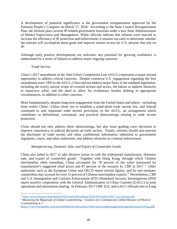A development of potential significance is the government reorganization approved by the National People's Congress on March 17, 2018. According to the State Council Reorganization Plan, the reforms place several IP-related government functions under a new State Administration of Market Supervision and Management. While officials indicate that reforms were enacted to increase the efficiency of IP protection and enforcement, it remains too early to determine whether the reforms will accomplish those goals and improve market access for U.S. persons that rely on IP.

Although early positive developments are welcome, any potential for growing confidence is undermined by a series of failures to address major ongoing concerns.

#### *Trade Secrets*

l

China's 2017 amendment of the Anti-Unfair Competition Law (AUCL) represents a major missed opportunity to address critical concerns. Despite extensive U.S. engagement regarding the first amendment since 1993 to the AUCL, China did not address major flaws in the outdated legislation, including the overly narrow scope of covered actions and actors, the failure to address obstacles to injunctive relief, and the need to allow for evidentiary burden shifting in appropriate circumstances, in addition to other concerns.

More fundamentally, despite long-term engagement from the United States and others—including from within China—China chose not to establish a stand-alone trade secrets law, and instead continued to seat important trade secrets provisions in the AUCL, an arrangement which contributes to definitional, conceptual, and practical shortcomings relating to trade secrets protection.

China should not only address these shortcomings, but also issue guiding court decisions to improve consistency in judicial decisions on trade secrets. Finally, reforms should also prevent the disclosure of trade secrets and other confidential information submitted to government regulators, courts, and other authorities, and address obstacles to criminal enforcement.

#### *Manufacturing, Domestic Sale, and Export of Counterfeit Goods*

China also failed in 2017 to take decisive action to curb the widespread manufacture, domestic sale, and export of counterfeit goods. Together with Hong Kong, through which Chinese merchandise often transships, China accounted for 78 percent of the value (measured by manufacturer's suggested retail price) and 87 percent of the seizures by CBP in 2017.[7](#page-39-0) Other authorities such as the European Union and OECD report similar figures, and by one estimate, counterfeits may account for over 12 percent of Chinese merchandise exports.<sup>[8](#page-39-1)</sup> Nevertheless, CBP and U.S. Immigration and Customs Enforcement (ICE) Homeland Security Investigations (HSI) report positive cooperation with the General Administration of China Customs (GACC) in joint operations and information sharing. In February 2017 CBP, ICE, and GACC officials met in Long

<span id="page-39-0"></span><sup>7</sup> <https://www.cbp.gov/sites/default/files/assets/documents/2018-Feb/trade-fy2017-ipr-seizures.pdf>

<span id="page-39-1"></span><sup>8</sup> *Measuring the Magnitude of Global Counterfeiting: Creation of a Contemporary Global Measure of Physical Counterfeiting* at 3

[<sup>\(</sup>https://www.uschamber.com/sites/default/files/documents/files/measuringthemagnitudeofglobalcounterfeiting.pdf\)](https://www.uschamber.com/sites/default/files/documents/files/measuringthemagnitudeofglobalcounterfeiting.pdf).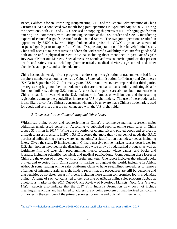Beach, California for an IP working group meeting. CBP and the General Administration of China Customs (GACC) conducted two month-long joint operations in April and August 2017. During the operations, both CBP and GACC focused on stopping shipments of IPR-infringing goods from entering U.S. commerce, with CBP making seizures at the U.S. border and GACC interdicting exports of counterfeit goods destined to the United States. The two joint operations resulted in approximately 3,500 seizures. Right holders also praise the GACC's proactive seizure of suspected goods prior to export from China. Despite cooperation on this relatively limited scale, China still needs to take measures to address the widespread availability of counterfeit goods sold both online and in physical markets in China, including those mentioned in past Out-of-Cycle Reviews of Notorious Markets. Special measures should address counterfeit products that present health and safety risks, including pharmaceuticals, medical devices, agricultural and other chemicals, auto parts, and semiconductors.

China has not shown significant progress in addressing the registration of trademarks in bad faith, despite a number of announcements by China's State Administration for Industry and Commerce (SAIC) in September 2017. For many years, U.S. brand owners have reported that third parties are registering large numbers of trademarks that are identical to, substantially indistinguishable from, or similar to, existing U.S. brands. As a result, third parties are able to obtain trademarks in China in bad faith even when the U.S. trademark is famous or well-known, and the resulting registrations damage the goodwill or interests of U.S. right holders. The use of these trademarks is also likely to confuse Chinese consumers who may be unaware that a Chinese trademark is used for goods and services that are not connected with the U.S. right holder.

#### *E-Commerce Piracy, Counterfeiting and Other Issues*

Widespread online piracy and counterfeiting in China's e-commerce markets represent major additional unaddressed concerns. According to published reports, online retail sales in China topped \$1 trillion in 2017. $9$  While the proportion of counterfeit and pirated goods and services is difficult to assess precisely, in 2014, SAIC reported that more than 40 percent of goods that SAIC purchased online during a survey were "not genuine," a classification that it described as including fakes. Given the scale, IP infringement in China's massive online markets causes deep losses for U.S. right holders involved in the distribution of a wide array of trademarked products, as well as legitimate film and television programming, music, software, video games, and books and journals, including scientific, technical, and medical publications. Compounding these losses in China are the export of pirated works to foreign markets. One report indicates that pirated books printed and exported from China appear in markets throughout the world, including in Africa. Although some leading online sales platforms claim to have streamlined procedures to remove offerings of infringing articles, right holders report that the procedures are still burdensome and that penalties do not deter repeat infringers, including those selling compromised log-in credentials online. A range of such concerns led to the re-listing of Alibaba online sales platform Taobao as a notorious market in the 2017 Out-of-Cycle Review of Notorious Markets (*Notorious Markets List*). Reports also indicate that the 2017 Film Industry Promotion Law does not include meaningful sanctions and has failed to address the ongoing problem of unauthorized camcording of movies in theaters, one of the primary sources for online audiovisual infringements.

l

<span id="page-40-0"></span><sup>9</sup> <https://www.digitalcommerce360.com/2018/02/08/online-retail-sales-china-soar-past-1-trillion-2017>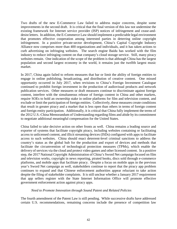Two drafts of the new E-Commerce Law failed to address major concerns, despite some improvements in the second draft. It is critical that the final version of this law not undermine the existing framework for Internet service provider (ISP) notices of infringement and cease-anddesist letters. In addition, the E-Commerce Law should implement a predictable legal environment that promotes effective cooperation among interested parties in deterring online copyright infringement. In a positive private-sector development, China's Capital Copyright Industry Alliance now comprises more than 400 organizations and individuals, and it has taken actions to curb advertising on infringing websites. The search engine Baidu has worked with the film industry to reduce infringing content on that company's cloud storage service. Still, many piracy websites remain. One indication of the scope of the problem is that although China has the largest population and second largest economy in the world, it remains just the twelfth largest music market.

In 2017, China again failed to reform measures that bar or limit the ability of foreign entities to engage in online publishing, broadcasting, and distribution of creative content. One missed opportunity occurred in July 2017, when revisions to China's Foreign Investment Catalogue continued to prohibit foreign investment in the production of audiovisual products and network publication services. Other measures or draft measures continue to discriminate against foreign content, interfere with the simultaneous release of foreign content in China and other markets, require SOEs to hold an ownership stake in online platforms for film and television content, and exclude or limit the participation of foreign entities. Collectively, these measures create conditions that result in greater piracy and a market that is less open than others in terms of foreign content and foreign entity participation. Additionally, it is critical that China fully implement the terms of the 2012 U.S.-China Memorandum of Understanding regarding films and abide by its commitment to negotiate additional meaningful compensation for the United States.

China failed to take decisive action on other fronts as well. China remains a leading source and exporter of systems that facilitate copyright piracy, including websites containing or facilitating access to unlicensed content, and illicit streaming devices (ISDs) configured with apps to facilitate access to such websites. China should enact deterrent-level criminal sanctions to address the country's status as the global hub for the production and export of devices and methods that facilitate the circumvention of technological protection measures (TPMs), which enable the delivery of services via the cloud and protect video games and other licensed content. In a positive step, the 2017 National Copyright Administration of China's Sword Net campaign focused on film and television works, copyright in news reporting, pirated books, discs sold through e-commerce platforms, and mobile apps that facilitate piracy. Despite a focus on mobile apps in the previous year's Sword Net campaign as well, stakeholders continue to report that the piracy app problem continues to expand and that Chinese enforcement authorities appear reluctant to take action despite the filing of stakeholder complaints. It is still unclear whether a January 2017 requirement that app sellers register with the State Internet Information Office will promote effective government enforcement action against piracy apps.

#### *Need to Promote Innovation through Sound Patent and Related Policies*

The fourth amendment of the Patent Law is still pending. While successive drafts have addressed certain U.S. recommendations, remaining concerns include the presence of competition law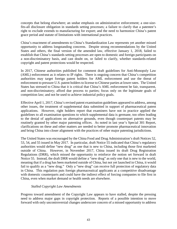concepts that belong elsewhere; an undue emphasis on administrative enforcement; a one-sizefits-all disclosure obligation in standards setting processes; a failure to clarify that a patentee's right to exclude extends to manufacturing for export; and the need to harmonize China's patent grace period and statute of limitations with international practices.

China's enactment of amendments to China's Standardization Law represents yet another missed opportunity to address longstanding concerns. Despite strong recommendations by the United States and others, the final version of the amended law, effective January 1, 2018, failed to establish that China's standards setting processes are open to domestic and foreign participants on a non-discriminatory basis, and cast doubt on, or failed to clarify, whether standards-related copyright and patent protections would be respected.

In 2017, Chinese authorities published for comment draft guidelines for Anti-Monopoly Law (AML) enforcement as it relates to IP rights. There is ongoing concern that China's competition authorities may target foreign patent holders for AML enforcement and use the threat of enforcement to pressure U.S. patent holders to license to Chinese parties at lower rates. The United States has stressed to China that it is critical that China's AML enforcement be fair, transparent, and non-discriminatory; afford due process to parties; focus only on the legitimate goals of competition law; and not be used to achieve industrial policy goals.

Effective April 1, 2017, China's revised patent examination guidelines appeared to address, among other issues, the treatment of supplemental data submitted in support of pharmaceutical patent applications. However, right holders report that examiners have not in practice applied the guidelines to all examination questions to which supplemental data is germane, too often leading to the denial of applications on alternative grounds, even though counterpart patents may be routinely granted by other major patenting offices. As noted in last year's Special 301 Report, clarifications on these and other matters are needed to better promote pharmaceutical innovation and bring China into closer alignment with the practices of other major patenting jurisdictions.

The United States was encouraged by the China Food and Drug Administration's draft Notices 52, 53, 54, and 55 issued in May 2017. In particular, draft Notice 55 indicated that China's regulatory authorities would define "new drug" as one that is new to China, including those first marketed outside of China. However, in November 2017, China issued its draft Drug Registration Regulations (DRR), which missed the opportunity to reinforce the notion set forward in draft Notice 55. Instead, the draft DRR would define a "new drug" as only one that is new to the world, meaning that if a drug has been marketed outside of China, but not yet launched in China, it would fail to qualify as a "new drug." Only a "new drug" can receive full protection of regulatory data in China. This regulation puts foreign pharmaceutical applicants at a competitive disadvantage with domestic counterparts and could have the indirect effect of forcing companies to file first in China, even when market demand or health needs are elsewhere.

#### *Stalled Copyright Law Amendments*

Progress toward amendment of the Copyright Law appears to have stalled, despite the pressing need to address major gaps in copyright protection. Reports of a possible intention to move forward with only uncontroversial changes underscore concern of a missed opportunity to address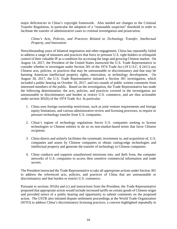major deficiencies in China's copyright framework. Also needed are changes to the Criminal Transfer Regulation, in particular the adoption of a "reasonable suspicion" threshold in order to facilitate the transfer of administrative cases to criminal investigation and prosecution.

*China's Acts, Policies, and Practices Related to Technology Transfer, Intellectual Property, and Innovation*

Notwithstanding years of bilateral negotiation and other engagement, China has repeatedly failed to address a range of measures and practices that force or pressure U.S. right holders to relinquish control of their valuable IP as a condition for accessing the large and growing Chinese market. On August 14, 2017, the President of the United States instructed the U.S. Trade Representative to consider whether to investigate under Section 301 of the 1974 Trade Act (19 U.S.C. § 2411) any Chinese acts, policies, or practices that may be unreasonable or discriminatory and that may be harming American intellectual property rights, innovation, or technology development. On August 18, 2017, the U.S. Trade Representative initiated a Section 301 investigation, which included a public hearing on October 10, 2017, and two rounds of public written comments from interested members of the public. Based on the investigation, the Trade Representative has made the following determination: the acts, policies, and practices covered in the investigation are unreasonable or discriminatory and burden or restrict U.S. commerce, and are thus actionable under section 301(b) of the 1974 Trade Act. In particular:

- 1. China uses foreign ownership restrictions, such as joint venture requirements and foreign equity limitations, and various administrative review and licensing processes, to require or pressure technology transfer from U.S. companies.
- 2. China's regime of technology regulations forces U.S. companies seeking to license technologies to Chinese entities to do so on non-market-based terms that favor Chinese recipients.
- 3. China directs and unfairly facilitates the systematic investment in, and acquisition of, U.S. companies and assets by Chinese companies to obtain cutting-edge technologies and intellectual property and generate the transfer of technology to Chinese companies.
- 4. China conducts and supports unauthorized intrusions into, and theft from, the computer networks of U.S. companies to access their sensitive commercial information and trade secrets.

The President instructed the Trade Representative to take all appropriate actions under Section 301 to address the referenced acts, policies, and practices of China that are unreasonable or discriminatory and that burden or restrict U.S. commerce.

Pursuant to sections 301(b) and (c) and instructions from the President, the Trade Representative proposed that appropriate action would include increased tariffs on certain goods of Chinese origin and provided notice of a public hearing and opportunity to submit comments on the proposed action. The USTR also initiated dispute settlement proceedings at the World Trade Organization (WTO) to address China's discriminatory licensing practices, a concern highlighted repeatedly in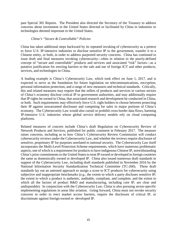past Special 301 Reports. The President also directed the Secretary of the Treasury to address concerns about investment in the United States directed or facilitated by China in industries or technologies deemed important to the United States.

#### *China's "Secure & Controllable" Policies*

China has taken additional steps backward by its repeated invoking of cybersecurity as a pretext to force U.S. IP-intensive industries to disclose sensitive IP to the government, transfer it to a Chinese entity, or both, in order to address purported security concerns. China has continued to issue draft and final measures invoking cybersecurity—often in relation to the poorly-defined concept of "secure and controllable" products and services and associated "risk" factors—as a putative justification for erecting barriers to the sale and use of foreign ICT and other products, services, and technologies in China.

A leading example is China's Cybersecurity Law, which took effect on June 1, 2017, and is expected to serve as the foundation for future legislation on telecommunications, encryption, personal information protection, and a range of new measures and technical standards. Critically, this and related measures may require that the sellers of products and services in various sectors of China's economy disclose critical IP to government authorities, and may additionally require that IP rights be owned in China, that associated research and development be conducted in China, or both. Such requirements may effectively force U.S. right holders to choose between protecting their IP against unwarranted disclosure and competing for sales in major portions of China's economy. The Cybersecurity Law would also curtail or prohibit cross border data flows, harming IP-intensive U.S. industries whose global service delivery models rely on cloud computing platforms.

Related measures of concern include China's draft Regulation on Cybersecurity Review of Network Products and Services, published for public comment in February 2017. The measure raises concerns, including as to how China's Cybersecurity Review Commission will conduct cybersecurity reviews under the Cybersecurity Law, and whether the reviews require disclosure of sensitive, proprietary IP for purposes unrelated to national security. The Cybersecurity Law itself incorporates the Multi-Level Protection Scheme requirements, which have numerous problematic aspects, one of which is a requirement for products to have indigenous Chinese IP, notwithstanding China's prior commitments to the United States to treat IP owned or developed in foreign countries the same as domestically owned or developed IP. China also issued numerous draft standards in support of the Cybersecurity Law, including draft standards published in November 2016 by the National Information Security Standardization Technical Committee (TC-260). These draft standards lay out an untested approach to assign a score to ICT products for cybersecurity using subjective and inappropriate benchmarks (*e.g.,* the extent to which a party discloses sensitive IP; the extent to which a product is authentic, auditable, compliant, and complete; and the extent to which all the factors of product R&D and manufacturing, including core IP, are clear and undisputable). In conjunction with the Cybersecurity Law, China is also pursuing sector-specific implementing regulations in areas like aviation. Going forward, China must not invoke security concerns in order to erect market access barriers, require the disclosure of critical IP, or discriminate against foreign-owned or -developed IP.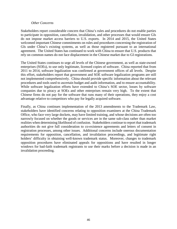#### *Other Concerns*

Stakeholders report considerable concern that China's rules and procedures do not enable parties to participate in opposition, cancellation, invalidation, and other processes that would ensure GIs do not impose market access barriers to U.S. exports. In 2014 and 2015, the United States welcomed important Chinese commitments on rules and procedures concerning the registration of GIs under China's existing systems, as well as those registered pursuant to an international agreement. The United States has continued to work with China to ensure that U.S. products that rely on common names do not face displacement in the Chinese market due to GI registrations.

The United States continues to urge all levels of the Chinese government, as well as state-owned enterprises (SOEs), to use only legitimate, licensed copies of software. China reported that from 2011 to 2014, software legalization was confirmed at government offices of all levels. Despite this effort, stakeholders report that government and SOE software legalization programs are still not implemented comprehensively. China should provide specific information about the relevant procedures and tools used to ascertain budget and audit information, and to ensure accountability. While software legalization efforts have extended to China's SOE sector, losses by software companies due to piracy at SOEs and other enterprises remain very high. To the extent that Chinese firms do not pay for the software that runs many of their operations, they enjoy a cost advantage relative to competitors who pay for legally acquired software.

Finally, as China continues implementation of the 2013 amendments to the Trademark Law, stakeholders have identified concerns relating to opposition examiners at the China Trademark Office, who face very large dockets, may have limited training, and whose decisions are often too narrowly focused on whether the goods or services are in the same sub-class rather than market realities when determining likelihood of confusion. Stakeholders continue to report that trademark authorities do not give full consideration to co-existence agreements and letters of consent in registration processes, among other issues. Additional concerns include onerous documentation requirements for opposition, cancellation, and invalidation proceedings, and legitimate right holders' difficulty in obtaining well-known trademark status. Moreover, changes to trademark opposition procedures have eliminated appeals for oppositions and have resulted in longer windows for bad-faith trademark registrants to use their marks before a decision is made in an invalidation proceeding.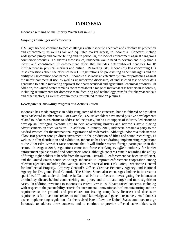# **INDONESIA**

Indonesia remains on the Priority Watch List in 2018.

#### *Ongoing Challenges and Concerns*

U.S. right holders continue to face challenges with respect to adequate and effective IP protection and enforcement, as well as fair and equitable market access, in Indonesia. Concerns include widespread piracy and counterfeiting and, in particular, the lack of enforcement against dangerous counterfeit products. To address these issues, Indonesia would need to develop and fully fund a robust and coordinated IP enforcement effort that includes deterrent-level penalties for IP infringement in physical markets and online. Regarding GIs, Indonesia's law concerning GIs raises questions about the effect of new GI registrations on pre-existing trademark rights and the ability to use common food names. Indonesia also lacks an effective system for protecting against the unfair commercial use, as well as unauthorized disclosure, of undisclosed test or other data generated to obtain marketing approval for pharmaceutical and agricultural chemical products. In addition, the United States remains concerned about a range of market access barriers in Indonesia, including requirements for domestic manufacturing and technology transfer for pharmaceuticals and other sectors, as well as certain measures related to motion pictures.

#### *Developments, Including Progress and Actions Taken*

Indonesia has made progress in addressing some of these concerns, but has faltered or has taken steps backward in other areas. For example, U.S. stakeholders have noted positive developments related to Indonesia's efforts to address online piracy, such as its support of industry-led efforts to develop an Infringing Website List to help advertising brokers and networks avoid placing advertisements on such websites. In addition, in January 2018, Indonesia became a party to the Madrid Protocol for the international registration of trademarks. Although Indonesia took steps to allow 100 percent foreign direct investment in the production of films and sound recordings, as well as in film distribution and exhibition, Indonesia has been drafting implementing regulations to the 2009 Film Law that raise concerns that it will further restrict foreign participation in this sector. In August 2017, regulations came into force clarifying *ex officio* authority for border enforcement against pirated and counterfeit goods, although concerns remain regarding the ability of foreign right holders to benefit from the system. Overall, IP enforcement has been insufficient, and the United States continues to urge Indonesia to improve enforcement cooperation among relevant agencies, including the National Inter-Ministerial IPR Task Force, Directorate General for Intellectual Property, Attorney General's Office, Creative Economy Agency, and National Agency for Drug and Food Control. The United States also encourages Indonesia to create a specialized IP unit under the Indonesia National Police to focus on investigating the Indonesian criminal syndicates behind counterfeiting and piracy and to initiate larger and more significant cases. In addition, revisions to Indonesia's Patent Law in 2016 have raised concerns, including with respect to the patentability criteria for incremental innovations; local manufacturing and use requirements; the grounds and procedures for issuing compulsory licenses; and disclosure requirements for inventions related to traditional knowledge and genetic resources. As Indonesia enacts implementing regulations for the revised Patent Law, the United States continues to urge Indonesia to address these concerns and to continue to provide affected stakeholders with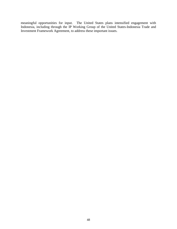meaningful opportunities for input. The United States plans intensified engagement with Indonesia, including through the IP Working Group of the United States-Indonesia Trade and Investment Framework Agreement, to address these important issues.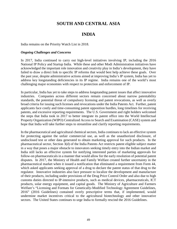# **SOUTH AND CENTRAL ASIA**

# **INDIA**

India remains on the Priority Watch List in 2018.

#### *Ongoing Challenges and Concerns*

In 2017, India continued to carry out high-level initiatives involving IP, including the 2016 National IP Policy and Startup India. While these and other Modi Administration initiatives have acknowledged the important role innovation and creativity play in India's development, they have failed to draw a direct link to specific IP reforms that would best help achieve these goals. Over the past year, despite administrative actions aimed at improving India's IP system, India has yet to address key longstanding deficiencies in its IP regime. India remains one of the world's most challenging major economies with respect to protection and enforcement of IP.

In particular, India has yet to take steps to address longstanding patent issues that affect innovative industries. Companies across different sectors remain concerned about narrow patentability standards, the potential threat of compulsory licensing and patent revocations, as well as overly broad criteria for issuing such licenses and revocations under the India Patents Act. Further, patent applicants face costly and time-consuming patent opposition hurdles, long timelines for receiving patents, and excessive reporting requirements. The U.S. Government and right holders welcomed the steps that India took in 2017 to better integrate its patent office into the World Intellectual Property Organization (WIPO) Centralized Access to Search and Examination (CASE) system and hope that India will take further steps to streamline and clarify reporting requirements.

In the pharmaceutical and agricultural chemical sectors, India continues to lack an effective system for protecting against the unfair commercial use, as well as the unauthorized disclosure, of undisclosed test or other data generated to obtain marketing approval for such products. In the pharmaceutical sector, Section 3(d) of the India Patents Act restricts patent eligible subject matter in a way that poses a major obstacle to innovators seeking timely entry into the Indian market and India still lacks an effective system for notifying interested parties of marketing approvals for follow-on pharmaceuticals in a manner that would allow for the early resolution of potential patent disputes. In 2017, the Ministry of Health and Family Welfare created further uncertainty in the pharmaceutical market when it issued a notification that eliminated a requirement from Form 44, which asked applicants seeking approval of a drug to declare the patent status of that drug to the regulator. Innovative industries also face pressure to localize the development and manufacture of their products, including under provisions of the Drug Price Control Order and also due to high customs duties directed to IP-intensive products, such as medical devices, pharmaceuticals, ICT products, solar energy equipment, and capital goods. The Ministry of Agriculture and Farmers Welfare's "Licensing and Formats for Genetically-Modified Technology Agreement Guidelines, 2016" (2016 Guidelines) contained overly prescriptive terms that, if implemented, would undermine market incentives critical to the agricultural biotechnology and other innovative sectors. The United States continues to urge India to formally rescind the 2016 Guidelines.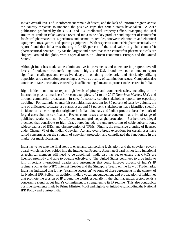India's overall levels of IP enforcement remain deficient, and the lack of uniform progress across the country threatens to undercut the positive steps that certain states have taken. A 2017 publication produced by the OECD and EU Intellectual Property Office, "Mapping the Real Routes of Trade in Fake Goods," revealed India to be a key producer and exporter of counterfeit foodstuff, pharmaceuticals, perfumes and cosmetics, textiles, footwear, electronics and electrical equipment, toys, games, and sporting equipment. With respect to counterfeit pharmaceuticals, the report found that India was the origin for 55 percent of the total value of global counterfeit pharmaceutical seizures—by far the largest and noted that these counterfeit pharmaceuticals are shipped "around the globe, with a special focus on African economies, Europe, and the United States."

Although India has made some administrative improvements and others are in progress, overall levels of trademark counterfeiting remain high, and U.S. brand owners continue to report significant challenges and excessive delays in obtaining trademarks and efficiently utilizing opposition and cancellation proceedings, as well as quality of examination issues. Companies also continue to face uncertainty caused by insufficient legal means to protect trade secrets in India.

Right holders continue to report high levels of piracy and counterfeit sales, including on the Internet, in physical markets (for recent examples, refer to the 2017 *Notorious Markets List*), and through commercial broadcasts. In specific sectors, certain stakeholder reports are especially troubling. For example, counterfeit pesticides may account for 30 percent of sales by volume, the rate of unlicensed software use stands at around 58 percent, stakeholders have identified specific incidents of camcording that originate in Indian cinemas, and Indian products bear the mark of forged accreditation certificates. Recent court cases also raise concerns that a broad range of published works will not be afforded meaningful copyright protection. Furthermore, illegal practices that contribute to high piracy rates include the underreporting of cable subscriptions, widespread use of ISDs, and circumvention of TPMs. Finally, the expansive granting of licenses under Chapter VI of the Indian Copyright Act and overly-broad exceptions for certain uses have raised concerns about the strength of copyright protection and complicated the functioning in the market for music licensing.

India has yet to take the final steps to enact anti-camcording legislation, and the copyright royalty board, which has been folded into the Intellectual Property Appellate Board, is not fully functional as technical members still need to be appointed. India also has yet to ensure that CMOs are licensed promptly and able to operate effectively. The United States continues to urge India to join important international treaties and agreements that could improve aspects of India's IP regime, such as the WIPO Internet Treaties and the Singapore Treaty on the Law of Trademarks. India has indicated that it may "examine accession" to some of these agreements in the context of its National IPR Policy. In addition, India's vocal encouragement and propagation of initiatives that promote the erosion of IP around the world, especially in the pharmaceutical sector, sends a concerning signal about India's commitment to strengthening its IP regime. This also contradicts positive statements made by Prime Minister Modi and high-level initiatives, including the National IPR Policy and Startup India.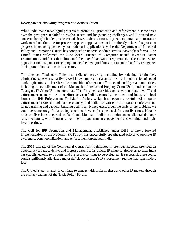#### *Developments, Including Progress and Actions Taken*

While India made meaningful progress to promote IP protection and enforcement in some areas over the past year, it failed to resolve recent and longstanding challenges, and it created new concerns for right holders, as described above. India continues to pursue important administrative work to reduce the time for processing patent applications and has already achieved significant progress in reducing pendency for trademark applications, while the Department of Industrial Policy and Promotion (DIPP) has continued to undertake administrative copyright reforms. The United States welcomed the June 2017 issuance of Computer-Related Invention Patent Examination Guidelines that eliminated the "novel hardware" requirement. The United States hopes that India's patent office implements the new guidelines in a manner that fully recognizes the important innovations in this sector.

The amended Trademark Rules also reflected progress, including by reducing certain fees, eliminating paperwork, clarifying well-known mark criteria, and allowing the submission of sound mark applications. There have been notable enforcement efforts conducted by state authorities, including the establishment of the Maharashtra Intellectual Property Crime Unit, modeled on the Telangana IP Crime Unit, to coordinate IP enforcement activities across various state-level IP and enforcement agencies. A joint effort between India's central government and industry helped launch the IPR Enforcement Toolkit for Police, which has become a useful tool to guide enforcement efforts throughout the country, and India has carried out important enforcementrelated training and capacity building activities. Nonetheless, given the scale of the problem, we continue to encourage India to adopt a national-level enforcement task force for IP crimes. Notable raids on IP crimes occurred in Delhi and Mumbai. India's commitment to bilateral dialogue remained strong, with frequent government-to-government engagements and working- and highlevel meetings.

The Cell for IPR Promotion and Management, established under DIPP to move forward implementation of the National IPR Policy, has successfully spearheaded efforts to promote IP awareness, commercialization, and enforcement throughout India.

The 2015 passage of the Commercial Courts Act, highlighted in previous Reports, provided an opportunity to reduce delays and increase expertise in judicial IP matters. However, to date, India has established only two courts, and the results continue to be evaluated. If successful, these courts could significantly alleviate a major deficiency in India's IP enforcement regime that right holders face.

The United States intends to continue to engage with India on these and other IP matters through the primary channel of the Trade Policy Forum.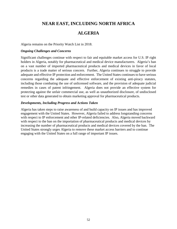# **NEAR EAST, INCLUDING NORTH AFRICA**

# **ALGERIA**

Algeria remains on the Priority Watch List in 2018.

#### *Ongoing Challenges and Concerns*

Significant challenges continue with respect to fair and equitable market access for U.S. IP right holders in Algeria, notably for pharmaceutical and medical device manufacturers. Algeria's ban on a vast number of imported pharmaceutical products and medical devices in favor of local products is a trade matter of serious concern. Further, Algeria continues to struggle to provide adequate and effective IP protection and enforcement. The United States continues to have serious concerns regarding the adequate and effective enforcement of existing anti-piracy statutes, including those combating the use of unlicensed software, and the provision of adequate judicial remedies in cases of patent infringement. Algeria does not provide an effective system for protecting against the unfair commercial use, as well as unauthorized disclosure, of undisclosed test or other data generated to obtain marketing approval for pharmaceutical products.

#### *Developments, Including Progress and Actions Taken*

Algeria has taken steps to raise awareness of and build capacity on IP issues and has improved engagement with the United States. However, Algeria failed to address longstanding concerns with respect to IP enforcement and other IP-related deficiencies. Also, Algeria moved backward with respect to the ban on the importation of pharmaceutical products and medical devices by increasing the number of pharmaceutical products and medical devices covered by the ban. The United States strongly urges Algeria to remove these market access barriers and to continue engaging with the United States on a full range of important IP issues.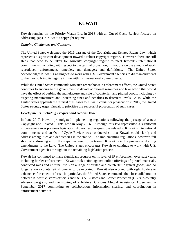# **KUWAIT**

Kuwait remains on the Priority Watch List in 2018 with an Out-of-Cycle Review focused on addressing gaps in Kuwait's copyright regime.

#### *Ongoing Challenges and Concerns*

The United States welcomed the 2016 passage of the Copyright and Related Rights Law, which represents a significant development toward a robust copyright regime. However, there are still steps that need to be taken for Kuwait's copyright regime to meet Kuwait's international commitments, including with respect to the term of protection; limitations on the amount of work reproduced; enforcement, remedies, and damages; and definitions. The United States acknowledges Kuwait's willingness to work with U.S. Government agencies to draft amendments to the Law to bring its regime in line with its international commitments.

While the United States commends Kuwait's recent boost in enforcement efforts, the United States continues to encourage the government to devote additional resources and take action that would have the effect of curbing the manufacture and sale of counterfeit and pirated goods, including by targeting manufacturers and increasing fines and penalties to deterrent levels. Also, while the United States applauds the referral of IP cases to Kuwaiti courts for prosecution in 2017, the United States strongly urges Kuwait to prioritize the successful prosecution of such cases.

#### *Developments, including Progress and Actions Taken*

In June 2017, Kuwait promulgated implementing regulations following the passage of a new Copyright and Related Rights Law in May 2016. Although this law represented a significant improvement over previous legislation, did not resolve questions related to Kuwait's international commitments, and an Out-of-Cycle Review was conducted so that Kuwait could clarify and address ambiguities and deficiencies in the statute. The implementing regulations, however, fell short of addressing all of the steps that need to be taken. Kuwait is in the process of drafting amendments to the Law. The United States encourages Kuwait to continue to work with U.S. Government agencies throughout the remaining legislative process.

Kuwait has continued to make significant progress on its level of IP enforcement over past years, including border enforcement. Kuwait took action against online offerings of pirated materials, conducted raids and criminal trials on a range of pirated and counterfeit physical goods, and no longer allows counterfeit shipments to be exported. Kuwait also worked with right holders to enhance enforcement efforts. In particular, the United States commends the close collaboration between Kuwaiti customs officials and the U.S. Customs and Border Protection (CBP) in-country advisory program, and the signing of a bilateral Customs Mutual Assistance Agreement in September 2017 committing to collaboration, information sharing, and coordination in enforcement activities.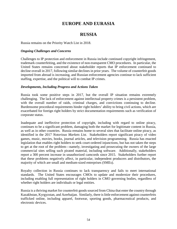# **EUROPE AND EURASIA**

# **RUSSIA**

Russia remains on the Priority Watch List in 2018.

#### *Ongoing Challenges and Concerns*

Challenges to IP protection and enforcement in Russia include continued copyright infringement, trademark counterfeiting, and the existence of non-transparent CMO procedures. In particular, the United States remains concerned about stakeholder reports that IP enforcement continued to decline overall in 2017, following similar declines in prior years. The volume of counterfeit goods imported from abroad is increasing, and Russian enforcement agencies continue to lack sufficient staffing, expertise, and the political will to combat IP crimes.

#### *Developments, Including Progress and Actions Taken*

Russia took some positive steps in 2017, but the overall IP situation remains extremely challenging. The lack of enforcement against intellectual property crimes is a persistent problem, with the overall number of raids, criminal charges, and convictions continuing to decline. Burdensome procedural requirements hinder right holders' ability to bring civil actions, which are exacerbated for foreign right holders by strict documentation requirements such as verification of corporate status.

Inadequate and ineffective protection of copyright, including with regard to online piracy, continues to be a significant problem, damaging both the market for legitimate content in Russia, as well as in other countries. Russia remains home to several sites that facilitate online piracy, as identified in the 2017 *Notorious Markets List*. Stakeholders report significant piracy of video games, music, movies, books, journal articles, and television programming. Russia has enacted legislation that enables right holders to seek court-ordered injunctions, but has not taken the steps to get at the root of the problem—namely, investigating and prosecuting the owners of the large commercial sites selling such pirated material, including software. Additionally, stakeholders report a 300 percent increase in unauthorized camcords since 2015. Stakeholders further report that these problems negatively affect, in particular, independent producers and distributors, the majority of which are small and medium-sized enterprises (SMEs).

Royalty collection in Russia continues to lack transparency and fails to meet international standards. The United States encourages CMOs to update and modernize their procedures, including enabling full representation of right holders in CMO governing bodies, regardless of whether right holders are individuals or legal entities.

Russia is a thriving market for counterfeit goods sourced from China that enter the country through Kazakhstan, Kyrgyzstan, and Azerbaijan. Similarly, there is little enforcement against counterfeits trafficked online, including apparel, footwear, sporting goods, pharmaceutical products, and electronic devices.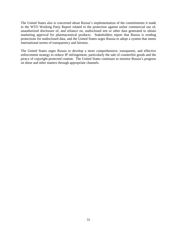The United States also is concerned about Russia's implementation of the commitments it made in the WTO Working Party Report related to the protection against unfair commercial use of, unauthorized disclosure of, and reliance on, undisclosed test or other data generated to obtain marketing approval for pharmaceutical products. Stakeholders report that Russia is eroding protections for undisclosed data, and the United States urges Russia to adopt a system that meets international norms of transparency and fairness.

The United States urges Russia to develop a more comprehensive, transparent, and effective enforcement strategy to reduce IP infringement, particularly the sale of counterfeit goods and the piracy of copyright-protected content. The United States continues to monitor Russia's progress on these and other matters through appropriate channels.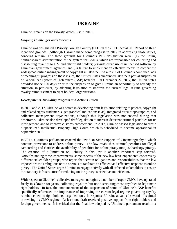# **UKRAINE**

Ukraine remains on the Priority Watch List in 2018.

#### *Ongoing Challenges and Concerns*

Ukraine was designated a Priority Foreign Country (PFC) in the 2013 Special 301 Report on three identified grounds. Although Ukraine made some progress in 2017 in addressing those issues, concerns remain. The three grounds for Ukraine's PFC designation were: (1) the unfair, nontransparent administration of the system for CMOs, which are responsible for collecting and distributing royalties to U.S. and other right holders; (2) widespread use of unlicensed software by Ukrainian government agencies; and (3) failure to implement an effective means to combat the widespread online infringement of copyright in Ukraine. As a result of Ukraine's continued lack of meaningful progress on these issues, the United States announced Ukraine's partial suspension of Generalized System of Preferences (GSP) benefits. On December 27, 2017, the United States provided notice 120 days prior to the suspension to give Ukraine an opportunity to remedy the situation, in particular, by adopting legislation to improve the current legal regime governing royalty reimbursement to right holders' organizations.

#### *Developments, Including Progress and Actions Taken*

In 2016 and 2017, Ukraine was active in developing draft legislation relating to patents, copyright and related rights, trademarks, geographical indications (GIs), integrated circuit topographies, and collective management organizations, although this legislation was not enacted during that timeframe. Ukraine also developed draft legislation to increase deterrent criminal penalties for IP infringement, and to improve customs enforcement. In 2017, Ukraine passed legislation to create a specialized Intellectual Property High Court, which is scheduled to become operational in September 2018.

In 2017, Ukraine's parliament enacted the law "On State Support of Cinematography," which contains provisions to address online piracy. The law establishes criminal penalties for illegal camcording and clarifies the availability of penalties for online piracy (not just hardcopy piracy). The creation of a limitation on liability in this law is another important step forward. Notwithstanding these improvements, some aspects of the new law have engendered concerns by different stakeholder groups, who report that certain obligations and responsibilities that the law imposes are too ambiguous or too onerous to facilitate an efficient and effective response to online piracy. The United States urges Ukraine to engage actively with all affected stakeholders to ensure the statutory infrastructure for reducing online piracy is effective and efficient.

With respect to Ukraine's collective management regime, a number of rogue CMOs have operated freely in Ukraine for years, collecting royalties but not distributing those royalties to legitimate right holders. In fact, the announcement of the suspension of some of Ukraine's GSP benefits specifically referenced the importance of improving the current legal regime governing royalty reimbursement to right holders' organizations. In response, Ukraine advanced several bills aimed at revising its CMO regime. At least one draft received positive support from right holders and foreign governments. It is critical that the final law adopted by Ukraine's parliament result in a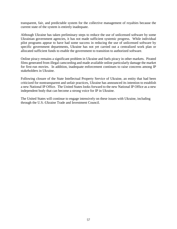transparent, fair, and predictable system for the collective management of royalties because the current state of the system is entirely inadequate.

Although Ukraine has taken preliminary steps to reduce the use of unlicensed software by some Ukrainian government agencies, it has not made sufficient systemic progress. While individual pilot programs appear to have had some success in reducing the use of unlicensed software by specific government departments, Ukraine has not yet carried out a centralized work plan or allocated sufficient funds to enable the government to transition to authorized software.

Online piracy remains a significant problem in Ukraine and fuels piracy in other markets. Pirated films generated from illegal camcording and made available online particularly damage the market for first-run movies. In addition, inadequate enforcement continues to raise concerns among IP stakeholders in Ukraine.

Following closure of the State Intellectual Property Service of Ukraine, an entity that had been criticized for nontransparent and unfair practices, Ukraine has announced its intention to establish a new National IP Office. The United States looks forward to the new National IP Office as a new independent body that can become a strong voice for IP in Ukraine.

The United States will continue to engage intensively on these issues with Ukraine, including through the U.S.-Ukraine Trade and Investment Council.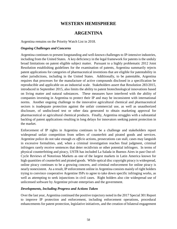# **WESTERN HEMISPHERE**

# **ARGENTINA**

Argentina remains on the Priority Watch List in 2018.

#### *Ongoing Challenges and Concerns*

Argentina continues to present longstanding and well-known challenges to IP-intensive industries, including from the United States. A key deficiency in the legal framework for patents is the unduly broad limitations on patent eligible subject matter. Pursuant to a highly problematic 2012 Joint Resolution establishing guidelines for the examination of patents, Argentina summarily rejects patent applications for categories of pharmaceutical inventions that are eligible for patentability in other jurisdictions, including in the United States. Additionally, to be patentable, Argentina requires that processes for the manufacture of active compounds disclosed in a specification be reproducible and applicable on an industrial scale. Stakeholders assert that Resolution 283/2015, introduced in September 2015, also limits the ability to patent biotechnological innovations based on living matter and natural substances. These measures have interfered with the ability of companies investing in Argentina to protect their IP and may be inconsistent with international norms. Another ongoing challenge to the innovative agricultural chemical and pharmaceutical sectors is inadequate protection against the unfair commercial use, as well as unauthorized disclosure, of undisclosed test or other data generated to obtain marketing approval for pharmaceutical or agricultural chemical products. Finally, Argentina struggles with a substantial backlog of patent applications resulting in long delays for innovators seeking patent protection in the market.

Enforcement of IP rights in Argentina continues to be a challenge and stakeholders report widespread unfair competition from sellers of counterfeit and pirated goods and services. Argentine police do not take enough *ex officio* actions, prosecutions can stall, cases may languish in excessive formalities, and, when a criminal investigation reaches final judgment, criminal infringers rarely receive sentences that deter recidivists or other potential infringers. In terms of physical counterfeiting and piracy, USTR has included La Salada in Buenos Aires in past Out-of-Cycle Reviews of Notorious Markets as one of the largest markets in Latin America known for high quantities of counterfeit and pirated goods. While optical disc copyright piracy is widespread, online piracy continues to be a growing concern, and criminal enforcement for online piracy is nearly nonexistent. As a result, IP enforcement online in Argentina consists mainly of right holders trying to convince cooperative Argentine ISPs to agree to take down specific infringing works, as well as attempting to seek injunctions in civil cases. Right holders also cite widespread use of unlicensed software by Argentine private enterprises and the government.

#### *Developments, Including Progress and Actions Taken*

Over the last year, Argentina continued the positive trajectory noted in the 2017 Special 301 Report to improve IP protection and enforcement, including enforcement operations, procedural enhancements for patent protection, legislative initiatives, and the creation of bilateral engagement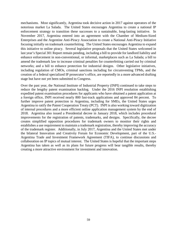mechanisms. Most significantly, Argentina took decisive action in 2017 against operators of the notorious market La Salada. The United States encourages Argentina to create a national IP enforcement strategy to transition these successes to a sustainable, long-lasting initiative. In November 2017, Argentina entered into an agreement with the Chamber of Medium-Sized Enterprises and the Argentine Anti-Piracy Association to create a National Anti-Piracy Initiative focusing initially on trademark counterfeiting. The United States encourages Argentina to expand this initiative to online piracy. Several legislative proposals that the United States welcomed in last year's Special 301 Report remain pending, including a bill to provide for landlord liability and enhance enforcement in non-conventional, or informal, marketplaces such as La Salada; a bill to amend the trademark law to increase criminal penalties for counterfeiting carried out by criminal networks; and a bill to enhance protection for industrial designs. Other legislative initiatives, including regulation of CMOs, criminal sanctions including for circumventing TPMs, and the creation of a federal specialized IP prosecutor's office, are reportedly in a more advanced drafting stage but have not yet been submitted to Congress.

Over the past year, the National Institute of Industrial Property (INPI) continued to take steps to reduce the lengthy patent examination backlog. Under the 2016 INPI resolution establishing expedited patent examination procedures for applicants who have obtained a patent application at a foreign office, INPI received nearly 800 fast-track applications and approved 84 percent. To further improve patent protection in Argentina, including for SMEs, the United States urges Argentina to ratify the Patent Cooperation Treaty (PCT). INPI is also working toward digitization of internal procedures and a more efficient online application management system by the end of 2018. Argentina also issued a Presidential decree in January 2018, which includes procedural improvements for the registration of patents, trademarks, and designs. Specifically, the decree creates simplified opposition procedures for trademark owners to monitor their rights and establishes a use requirement to maintain a trademark registration, thereby improving the accuracy of the trademark register. Additionally, in July 2017, Argentina and the United States met under the bilateral Innovation and Creativity Forum for Economic Development, part of the U.S.- Argentina Trade and Investment Framework Agreement (TIFA), to continue discussions and collaboration on IP topics of mutual interest. The United States is hopeful that the important steps Argentina has taken as well as its plans for future progress will bear tangible results, thereby creating a more attractive environment for investment and innovation.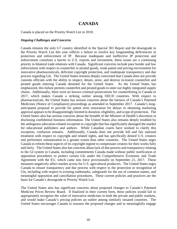# **CANADA**

Canada is placed on the Priority Watch List in 2018.

#### *Ongoing Challenges and Concerns*

Canada remains the only G7 country identified in the Special 301 Report and the downgrade to the Priority Watch List this year reflects a failure to resolve key longstanding deficiencies in protection and enforcement of IP. Because inadequate and ineffective IP protection and enforcement constitute a barrier to U.S. exports and investment, these issues are a continuing priority in bilateral trade relations with Canada. Significant concerns include poor border and law enforcement with respect to counterfeit or pirated goods, weak patent and pricing environment for innovative pharmaceuticals, deficient copyright protection, and inadequate transparency and due process regarding GIs. The United States remains deeply concerned that Canada does not provide customs officials with the ability to inspect, detain, seize, and destroy in-transit counterfeit and pirated goods entering Canada destined for the United States. As the United States has emphasized, this failure permits counterfeit and pirated goods to enter our highly integrated supply chains. Additionally, there were no known criminal prosecutions for counterfeiting in Canada in 2017, which makes Canada a striking outlier among OECD countries. With respect to pharmaceuticals, the United States has serious concerns about the fairness of Canada's Patented Medicines (Notice of Compliance) proceedings as amended in September 2017. Canada's longanticipated proposal to provide for patent term restoration for delays in obtaining marketing approval appears to be disappointingly limited in duration, eligibility, and scope of protection. The United States also has serious concerns about the breadth of the Minister of Health's discretion in disclosing confidential business information. The United States also remains deeply troubled by the ambiguous education-related exception to copyright that has significantly damaged the market for educational publishers and authors. While Canadian courts have worked to clarify this exception, confusion remains. Additionally, Canada does not provide full and fair national treatment with respect to copyright and related rights, and has specifically denied U.S. creators and performers remuneration to a greater extent than other countries. The United States urges Canada to reform these aspects of its copyright regime to compensate creators for their works fully and fairly. The United States also has concerns about lack of due process and transparency relating to the GI system in Canada, including commitments Canada made without public notification or opposition procedures to protect certain GIs under the Comprehensive Economic and Trade Agreement with the EU, which came into force provisionally on September 21, 2017. These measures negatively affect market access for U.S. agricultural producers. The United States urges Canada to ensure transparency and due process with respect to the protection or recognition of GIs, including with respect to existing trademarks, safeguards for the use of common names, and meaningful opposition and cancellation procedures. These current policies and practices are the basis for Canada's downgrade to Priority Watch List.

The United States also has significant concerns about proposed changes to Canada's Patented Medicine Prices Review Board. If finalized in their current form, these policies would fail to appropriately recognize the value of innovative medicines in both the private and public markets, and would make Canada's pricing policies an outlier among similarly situated countries. The United States encourages Canada to reassess the proposed changes and to meaningfully engage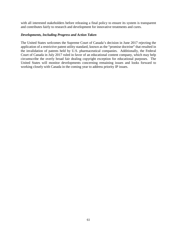with all interested stakeholders before releasing a final policy to ensure its system is transparent and contributes fairly to research and development for innovative treatments and cures.

#### *Developments, Including Progress and Action Taken*

The United States welcomes the Supreme Court of Canada's decision in June 2017 rejecting the application of a restrictive patent utility standard, known as the "promise doctrine" that resulted in the invalidation of patents held by U.S. pharmaceutical companies. Additionally, the Federal Court of Canada in July 2017 ruled in favor of an educational content company, which may help circumscribe the overly broad fair dealing copyright exception for educational purposes. The United States will monitor developments concerning remaining issues and looks forward to working closely with Canada in the coming year to address priority IP issues.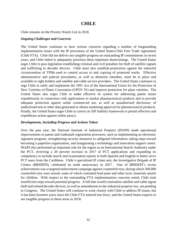# **CHILE**

Chile remains on the Priority Watch List in 2018.

#### *Ongoing Challenges and Concerns*

The United States continues to have serious concerns regarding a number of longstanding implementation issues with the IP provisions of the United States-Chile Free Trade Agreement (Chile FTA). Chile did not deliver any tangible progress on outstanding IP commitments in recent years, and Chile failed to adequately prioritize these important shortcomings. The United States urges Chile to pass legislation establishing criminal and civil penalties for theft of satellite signals and trafficking in decoder devices. Chile must also establish protections against the unlawful circumvention of TPMs used to control access to and copying of protected works. Effective administrative and judicial procedures, as well as deterrent remedies, must be in place and available to right holders and satellite and cable service providers. The United States continues to urge Chile to ratify and implement the 1991 Act of the International Union for the Protection of New Varieties of Plants Convention (UPOV 91) and improve protection for plant varieties. The United States also urges Chile to make effective its system for addressing patent issues expeditiously in connection with applications to market pharmaceutical products and to provide adequate protection against unfair commercial use, as well as unauthorized disclosure, of undisclosed test or other data generated to obtain marketing approval for pharmaceutical products. Finally, the United States urges Chile to correct its ISP liability framework to permit effective and expeditious action against online piracy.

#### *Developments, Including Progress and Actions Taken*

Over the past year, the National Institute of Industrial Property (INAPI) made operational improvements to patent and trademark registration processes, such as implementing an electronic signature program, strengthening security measures to safeguard information, taking steps toward becoming a paperless organization, and inaugurating a technology and innovation support center. INAPI also performed an important role for the region as an International Search Authority under the PCT, receiving a 20 percent increase in 2017 of PCT applications and expanding its competency to include search and examination reports in both Spanish and English to better serve PCT users from the Caribbean. Chile's specialized IP crime unit, the Investigative Brigade of IP Crimes (BRIDEPI), celebrated its tenth anniversary in 2017. One of BRIDEPI's recent achievements was a targeted enforcement campaign against counterfeit toys, during which 300,000 counterfeit toys were seized, some of which contained lead paint and other toxic materials unsafe for children. With respect to the outstanding FTA implementation concerns noted, Chile took insufficient steps toward potential progress. A bill that would criminalize satellite and cable signal theft and related decoder devices, as well as amendments to the industrial property law, are pending in Congress. The United States will continue to work closely with Chile to address IP issues, but it has been fourteen years since the Chile FTA entered into force, and the United States expects to see tangible progress in these areas in 2018.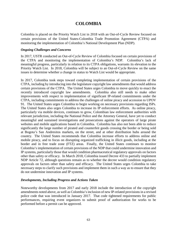# **COLOMBIA**

Colombia is placed on the Priority Watch List in 2018 with an Out-of-Cycle Review focused on certain provisions of the United States-Colombia Trade Promotion Agreement (CTPA) and monitoring the implementation of Colombia's National Development Plan (NDP).

#### *Ongoing Challenges and Concerns*

In 2017, USTR conducted an Out-of-Cycle Review of Colombia focused on certain provisions of the CTPA and monitoring the implementation of Colombia's NDP. Colombia's lack of meaningful progress, particularly in relation to its CTPA obligations, warrants its elevation to the Priority Watch List. In 2018, Colombia will be subject to an Out-of-Cycle Review on the same issues to determine whether a change in status to Watch List would be appropriate.

In 2017, Colombia took steps toward completing implementation of certain provisions of the CTPA, including by introducing into the legislature copyright law amendments that would address certain provisions of the CTPA. The United States urges Colombia to move quickly to enact the recently introduced copyright law amendments. Colombia also still needs to make other improvements with respect to implementation of significant IP-related commitments under the CTPA, including commitments to address the challenges of online piracy and accession to UPOV 91. The United States urges Colombia to begin working on necessary provisions regarding ISPs. The United States also urges Colombia to increase its IP enforcement efforts. As online piracy, particularly via mobile devices, continues to grow, Colombian law enforcement authorities with relevant jurisdiction, including the National Police and the Attorney General, have yet to conduct meaningful and sustained investigations and prosecutions against the operators of large pirate websites and mobile applications based in Colombia. Colombia has also not been able to reduce significantly the large number of pirated and counterfeit goods crossing the border or being sold at Bogota's San Andresitos markets, on the street, and at other distribution hubs around the country. The United States recommends that Colombia increase efforts to address online and mobile piracy, and to focus on disrupting organized trafficking in illicit goods, including at the border and in free trade zone (FTZ) areas. Finally, the United States continues to monitor Colombia's implementation of certain provisions of the NDP that could undermine innovation and IP systems, particularly those that would condition pharmaceutical regulatory approvals on factors other than safety or efficacy. In March 2018, Colombia issued Decree 433 to partially implement NDP Article 72, although questions remain as to whether the decree would condition regulatory approvals on factors other than safety and efficacy. The United States urges Colombia to take necessary steps to clarify such provisions and implement them in such a way as to ensure that they do not undermine innovation and IP systems.

#### *Developments, Including Progress and Actions Taken*

Noteworthy developments from 2017 and early 2018 include the introduction of the copyright amendments noted above, as well as Colombia's inclusion of new IP-related provisions in a revised police code that was introduced in January 2017. That code tightened requirements for public performances, requiring event organizers to submit proof of authorization for works to be performed before a permit can be approved.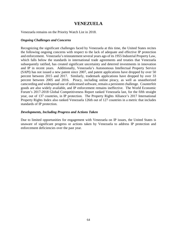# **VENEZUELA**

Venezuela remains on the Priority Watch List in 2018.

#### *Ongoing Challenges and Concerns*

Recognizing the significant challenges faced by Venezuela at this time, the United States recites the following ongoing concerns with respect to the lack of adequate and effective IP protection and enforcement. Venezuela's reinstatement several years ago of its 1955 Industrial Property Law, which falls below the standards in international trade agreements and treaties that Venezuela subsequently ratified, has created significant uncertainty and deterred investments in innovation and IP in recent years. Additionally, Venezuela's Autonomous Intellectual Property Service (SAPI) has not issued a new patent since 2007, and patent applications have dropped by over 50 percent between 2015 and 2017. Similarly, trademark applications have dropped by over 33 percent between 2005 and 2016. Piracy, including online piracy, as well as unauthorized camcording and widespread use of unlicensed software, remain a persistent challenge. Counterfeit goods are also widely available, and IP enforcement remains ineffective. The World Economic Forum's 2017-2018 Global Competitiveness Report ranked Venezuela last, for the fifth straight year, out of 137 countries, in IP protection. The Property Rights Alliance's 2017 International Property Rights Index also ranked Venezuela 126th out of 127 countries in a metric that includes standards of IP protection.

#### *Developments, Including Progress and Actions Taken*

Due to limited opportunities for engagement with Venezuela on IP issues, the United States is unaware of significant progress or actions taken by Venezuela to address IP protection and enforcement deficiencies over the past year.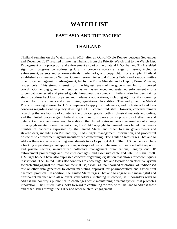# **WATCH LIST**

# **EAST ASIA AND THE PACIFIC**

### **THAILAND**

Thailand remains on the Watch List in 2018, after an Out-of-Cycle Review between September and December 2017 resulted in moving Thailand from the Priority Watch List to the Watch List. Engagement on IP protection and enforcement as part of the bilateral U.S.-Thailand TIFA yielded significant progress on addressing U.S. IP concerns across a range of issues, including enforcement, patents and pharmaceuticals, trademarks, and copyright. For example, Thailand established an interagency National Committee on Intellectual Property Policy and a subcommittee on enforcement against IP infringement, led by the Prime Minister and a Deputy Prime Minister, respectively. This strong interest from the highest levels of the government led to improved coordination among government entities, as well as enhanced and sustained enforcement efforts to combat counterfeit and pirated goods throughout the country. Thailand also has been taking steps to address backlogs for patent and trademark applications, including significantly increasing the number of examiners and streamlining regulations. In addition, Thailand joined the Madrid Protocol, making it easier for U.S. companies to apply for trademarks, and took steps to address concerns regarding online piracy affecting the U.S. content industry. However, concerns remain regarding the availability of counterfeit and pirated goods, both in physical markets and online, and the United States urges Thailand to continue to improve on its provision of effective and deterrent enforcement measures. In addition, the United States remains concerned about a range of copyright-related issues. In particular, the 2014 Copyright Act amendments failed to address a number of concerns expressed by the United States and other foreign governments and stakeholders, including on ISP liability, TPMs, rights management information, and procedural obstacles to enforcement against unauthorized camcording. The United States urges Thailand to address these issues in upcoming amendments to its Copyright Act. Other U.S. concerns include a backlog in pending patent applications, widespread use of unlicensed software in both the public and private sectors, unauthorized collective management organizations, lengthy civil IP enforcement proceedings and low civil damages, and extensive cable and satellite signal theft. U.S. right holders have also expressed concerns regarding legislation that allows for content quota restrictions. The United States also continues to encourage Thailand to provide an effective system for protecting against the unfair commercial use, as well as unauthorized disclosure, of undisclosed test or other data generated to obtain marketing approval for pharmaceutical and agricultural chemical products. In addition, the United States urges Thailand to engage in a meaningful and transparent manner with all relevant stakeholders, including IP owners, as it considers ways to address the country's public health challenges while maintaining a patent system that promotes innovation. The United States looks forward to continuing to work with Thailand to address these and other issues through the TIFA and other bilateral engagement.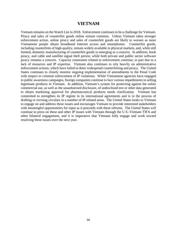### **VIETNAM**

Vietnam remains on the Watch List in 2018. Enforcement continues to be a challenge for Vietnam. Piracy and sales of counterfeit goods online remain common. Unless Vietnam takes stronger enforcement action, online piracy and sales of counterfeit goods are likely to worsen as more Vietnamese people obtain broadband Internet access and smartphones. Counterfeit goods, including counterfeits of high-quality, remain widely available in physical markets, and, while still limited, domestic manufacturing of counterfeit goods is emerging as a concern. In addition, book piracy, and cable and satellite signal theft persist, while both private and public sector software piracy remains a concern. Capacity constraints related to enforcement continue, in part due to a lack of resources and IP expertise. Vietnam also continues to rely heavily on administrative enforcement actions, which have failed to deter widespread counterfeiting and piracy. The United States continues to closely monitor ongoing implementation of amendments to the Penal Code with respect to criminal enforcement of IP violations. While Vietnamese agencies have engaged in public awareness campaigns, foreign companies continue to face various impediments to selling legitimate products in Vietnam. In addition, Vietnam's system for protecting against the unfair commercial use, as well as the unauthorized disclosure, of undisclosed test or other data generated to obtain marketing approval for pharmaceutical products needs clarification. Vietnam has committed to strengthen its IP regime in its international agreements and is in the process of drafting or revising circulars in a number of IP-related areas. The United States looks to Vietnam to engage on and address these issues and encourages Vietnam to provide interested stakeholders with meaningful opportunities for input as it proceeds with these reforms. The United States will continue to press on these and other IP issues with Vietnam through the U.S.-Vietnam TIFA and other bilateral engagement, and it is imperative that Vietnam fully engage and work toward resolving these issues over the next year.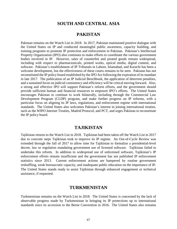### **SOUTH AND CENTRAL ASIA**

### **PAKISTAN**

Pakistan remains on the Watch List in 2018. In 2017, Pakistan maintained positive dialogue with the United States on IP and conducted meaningful public awareness, capacity building, and training programs to promote IP protection and enforcement in Pakistan. Pakistan's Intellectual Property Organization (IPO) also continues to make efforts to coordinate the various government bodies involved in IP. However, sales of counterfeit and pirated goods remain widespread, including with respect to pharmaceuticals, printed works, optical media, digital content, and software. Pakistan's establishment of IP Tribunals in Lahore, Islamabad, and Karachi has been a welcome development, but the effectiveness of these courts remains to be seen. Pakistan has not reconstituted the IP policy board established by the IPO Act following the expiration of its mandate in late 2017. The publication of an IP Judicial Benchbook, the application of deterrent penalties, and a sustained focus on judicial consistency and efficiency will be critical moving forward. Also, a strong and effective IPO will support Pakistan's reform efforts, and the government should provide sufficient human and financial resources to empower IPO's efforts. The United States encourages Pakistan to continue to work bilaterally, including through the Commercial Law Development Program (CLDP) program, and make further progress on IP reforms, with a particular focus on aligning its IP laws, regulations, and enforcement regime with international standards. The United States also welcomes Pakistan's interest in joining international treaties, such as the WIPO Internet Treaties, Madrid Protocol, and PCT, and urges Pakistan to reconstitute the IP policy board.

# **TAJIKISTAN**

Tajikistan returns to the Watch List in 2018. Tajikistan had been taken off the Watch List in 2017 due to concrete steps Tajikistan took to improve its IP regime. An Out-of-Cycle Review was extended through the fall of 2017 to allow time for Tajikistan to formalize a presidential-level decree, law or regulation mandating government use of licensed software. Tajikistan failed to undertake this reform. In addition to widespread use of unlicensed software, Tajikistan's IP enforcement efforts remain insufficient and the government has not published IP enforcement statistics since 2013. Current enforcement actions are hampered by routine government reshuffling, weak bureaucratic capacity, and inadequate public education on the importance of IP. The United States stands ready to assist Tajikistan through enhanced engagement or technical assistance, if requested.

### **TURKMENISTAN**

Turkmenistan remains on the Watch List in 2018. The United States is concerned by the lack of observable progress made by Turkmenistan in bringing its IP protections up to international standards since its accession to the Berne Convention in 2016. The United States also remains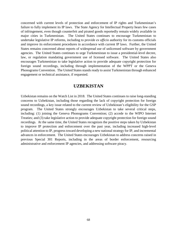concerned with current levels of protection and enforcement of IP rights and Turkmenistan's failure to fully implement its IP laws. The State Agency for Intellectual Property hears few cases of infringement, even though counterfeit and pirated goods reportedly remain widely available in major cities in Turkmenistan. The United States continues to encourage Turkmenistan to undertake legislative IP reforms, including to provide *ex officio* authority for its customs officials and improve its enforcement procedures in accordance with current IP laws. Further, the United States remains concerned about reports of widespread use of unlicensed software by government agencies. The United States continues to urge Turkmenistan to issue a presidential-level decree, law, or regulation mandating government use of licensed software. The United States also encourages Turkmenistan to take legislative action to provide adequate copyright protection for foreign sound recordings, including through implementation of the WPPT or the Geneva Phonograms Convention. The United States stands ready to assist Turkmenistan through enhanced engagement or technical assistance, if requested.

### **UZBEKISTAN**

Uzbekistan remains on the Watch List in 2018. The United States continues to raise long-standing concerns to Uzbekistan, including those regarding the lack of copyright protection for foreign sound recordings, a key issue related to the current review of Uzbekistan's eligibility for the GSP program. The United States strongly encourages Uzbekistan to take several critical steps, including: (1) joining the Geneva Phonograms Convention; (2) accede to the WIPO Internet Treaties; and (3) take legislative action to provide adequate copyright protection for foreign sound recordings. At the same time, the United States recognizes the positive steps taken by Uzbekistan to improve IP protection and enforcement over the past year, including increased high-level political attention to IP, progress toward developing a new national strategy for IP, and incremental advances in enforcement. The United States encourages Uzbekistan to address concerns raised in previous Special 301 Reports, including in the areas of border enforcement, resourcing administrative and enforcement IP agencies, and addressing software piracy.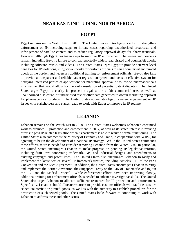# **NEAR EAST, INCLUDING NORTH AFRICA**

### **EGYPT**

Egypt remains on the Watch List in 2018. The United States notes Egypt's effort to strengthen enforcement of IP, including steps to initiate cases regarding unauthorized broadcasts and infringement of satellite content and to reduce regulatory approval delays for pharmaceuticals. However, although Egypt has taken steps to improve IP enforcement, challenges and concerns remain, including Egypt's failure to combat reportedly widespread pirated and counterfeit goods, including software, music, and videos. The United States urges Egypt to provide deterrent-level penalties for IP violations, *ex officio* authority for customs officials to seize counterfeit and pirated goods at the border, and necessary additional training for enforcement officials. Egypt also fails to provide a transparent and reliable patent registration system and lacks an effective system for notifying interested parties of applications for marketing approval of follow-on pharmaceuticals in a manner that would allow for the early resolution of potential patent disputes. The United States urges Egypt to clarify its protection against the unfair commercial use, as well as unauthorized disclosure, of undisclosed test or other data generated to obtain marketing approval for pharmaceutical products. The United States appreciates Egypt's recent engagement on IP issues with stakeholders and stands ready to work with Egypt to improve its IP regime.

### **LEBANON**

Lebanon remains on the Watch List in 2018. The United States welcomes Lebanon's continued work to promote IP protection and enforcement in 2017, as well as its stated interest in reviving efforts to pass IP-related legislation when its parliament is able to resume normal functioning. The United States also commends the Ministry of Economy and Trade, in cooperation with WIPO, for agreeing to begin the development of a national IP strategy. While the United States commends these efforts, more is needed to consider removing Lebanon from the Watch List. In particular, the United States encourages Lebanon to make progress on pending IP legislative reforms, including draft laws concerning trademark, GIs, and industrial designs, and amendments to existing copyright and patent laws. The United States also encourages Lebanon to ratify and implement the latest acts of several IP framework treaties, including Articles 1-12 of the Paris Convention and the Nice Agreement. In addition, the United States encourages Lebanon to ratify and implement the Berne Convention, the Singapore Treaty on the Law of Trademarks and to join the PCT and the Madrid Protocol. While enforcement efforts have been improving slowly, additional training for enforcement officials is needed to enhance investigative skills. The United States also urges Lebanon to allocate sufficient resources for IP protection and enforcement. Specifically, Lebanon should allocate resources to provide customs officials with facilities to store seized counterfeit or pirated goods, as well as with the authority to establish procedures for the destruction of such seized goods. The United States looks forward to continuing to work with Lebanon to address these and other issues.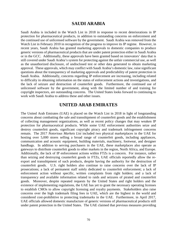# **SAUDI ARABIA**

Saudi Arabia is included in the Watch List in 2018 in response to recent deteriorations in IP protection for pharmaceutical products, in addition to outstanding concerns on enforcement and the continued use of unlicensed software by the government. Saudi Arabia was removed from the Watch List in February 2010 in recognition of the progress to improve its IP regime. However, in recent years, Saudi Arabia has granted marketing approvals to domestic companies to produce generic versions of pharmaceutical products that are under patent protection either in Saudi Arabia or in the GCC. Additionally, these approvals have been granted based on innovators' data that is still covered under Saudi Arabia's system for protecting against the unfair commercial use, as well as the unauthorized disclosure, of undisclosed test or other data generated to obtain marketing approval. These approvals, which may conflict with Saudi Arabia's domestic law, raise significant questions about the transparency of marketing approvals and predictability of patent protection in Saudi Arabia. Additionally, concerns regarding IP enforcement are increasing, including related to difficulty in obtaining information on the status of enforcement actions and investigations, and the lack of seizure and destruction of counterfeit goods. Furthermore, the continued use of unlicensed software by the government, along with the limited number of and training for copyright inspectors, are outstanding concerns. The United States looks forward to continuing to work with Saudi Arabia to address these and other issues.

### **UNITED ARAB EMIRATES**

The United Arab Emirates (UAE) is placed on the Watch List in 2018 in light of longstanding concerns about combatting the sale and transshipment of counterfeit goods and the establishment of collecting management organizations, as well as recent policy changes that may weaken IP protection for pharmaceutical products. While some UAE enforcement authorities seize and destroy counterfeit goods, significant copyright piracy and trademark infringement concerns remain. The 2017 *Notorious Markets List* included two physical marketplaces in the UAE for hosting over 5,000 stores selling a broad range of counterfeit goods, including appliances, communication and acoustic equipment, building materials, machinery, footwear, and designer handbags. In addition to serving purchasers in the UAE, these marketplaces also operate as gateways to distribute counterfeit goods to other markets in the region, North Africa, and Europe. Additionally, the lack of IP enforcement actions within FTZs is a concern. For instance, rather than seizing and destroying counterfeit goods in FTZs, UAE officials reportedly allow the reexport and transshipment of such products, despite having the authority for the destruction of counterfeit goods. U.S. right holders also continue to raise concerns over the lack of IP prosecutions; a lack of permanent staff solely dedicated to counterfeit enforcement; a lack of enforcement action without specific, written complaints from right holders; and a lack of transparency and available information related to raids and seizures of pirated and counterfeit goods. Moreover, despite repeated requests by the United States and right holders and the existence of implementing regulations, the UAE has yet to grant the necessary operating licenses to establish CMOs to allow copyright licensing and royalty payments. Stakeholders also raise concerns over the high trademark filing fees in UAE, which are the highest in the world and considered cost-prohibitive to protecting trademarks in the UAE. Furthermore, in April 2017, UAE officials allowed domestic manufacture of generic versions of pharmaceutical products still under patent protection in the United States. The UAE claimed that previous measures providing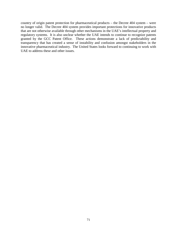country of origin patent protection for pharmaceutical products – the Decree 404 system – were no longer valid. The Decree 404 system provides important protections for innovative products that are not otherwise available through other mechanisms in the UAE's intellectual property and regulatory systems. It is also unclear whether the UAE intends to continue to recognize patents granted by the GCC Patent Office. These actions demonstrate a lack of predictability and transparency that has created a sense of instability and confusion amongst stakeholders in the innovative pharmaceutical industry. The United States looks forward to continuing to work with UAE to address these and other issues.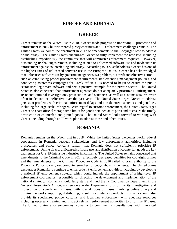### **EUROPE AND EURASIA**

### **GREECE**

Greece remains on the Watch List in 2018. Greece made progress on improving IP protection and enforcement in 2017 but widespread piracy continues and IP enforcement challenges remain. The United States welcomes the enactment in 2017 of amendments to the Copyright Law to address online piracy. The United States encourages Greece to fully implement the new law, including establishing expeditiously the committee that will administer enforcement requests. However, outstanding IP challenges remain, including related to unlicensed software use and inadequate IP enforcement against counterfeiting and piracy. According to U.S. stakeholders, Greece has one of the highest rates of unlicensed software use in the European Union. Greece has acknowledged that unlicensed software use by government agencies is a problem, but swift and effective action such as establishing proper procurement requirements, implementing management policies, and conducting awareness campaigns for Greek officials—is needed to begin to ensure the public sector uses legitimate software and sets a positive example for the private sector. The United States is also concerned that enforcement agencies do not adequately prioritize IP infringement. IP-related criminal investigations, prosecutions, and sentences, as well as customs seizures, were often inadequate or ineffective over the past year. The United States urges Greece to address persistent problems with criminal enforcement delays and non-deterrent sentences and penalties, including for large-scale infringers. With regard to customs enforcement, the United States urges Greece to enact official storage time limits for goods detained at its ports and to ensure the timely destruction of counterfeit and pirated goods. The United States looks forward to working with Greece including through an IP work plan to address these and other issues.

### **ROMANIA**

Romania remains on the Watch List in 2018. While the United States welcomes working-level cooperation in Romania between stakeholders and law enforcement authorities, including prosecutors and police, concerns remain that Romania does not sufficiently prioritize IP enforcement. Online piracy, unlicensed software use, and distribution of counterfeit goods are key challenges for U.S. IP-intensive industries in Romania. The United States remains concerned that amendments to the Criminal Code in 2014 effectively decreased penalties for copyright crimes and that amendments to the Criminal Procedure Code in 2016 failed to grant authority to the Economic Police to carry out computer searches for copyright infringements. The United States encourages Romania to continue to enhance its IP enforcement activities, including by developing a national IP enforcement strategy, which could include the appointment of a high-level IP enforcement coordinator, responsible for directing the development and implementation of the national strategy. Romania should fully staff and fund the IP Coordination Department in the General Prosecutor's Office, and encourage the Department to prioritize its investigation and prosecution of significant IP cases, with special focus on cases involving online piracy and criminal networks importing, distributing, or selling counterfeit products. Romania should also provide its specialized police, customs, and local law enforcement with adequate resources including necessary training and instruct relevant enforcement authorities to prioritize IP cases. The United States also encourages Romania to continue its consultations with interested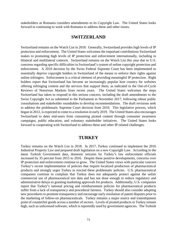stakeholders as Romania considers amendments to its Copyright Law. The United States looks forward to continuing to work with Romania to address these and other issues.

## **SWITZERLAND**

Switzerland remains on the Watch List in 2018. Generally, Switzerland provides high levels of IP protection and enforcement. The United States welcomes the important contributions Switzerland makes to promoting high levels of IP protection and enforcement internationally, including in bilateral and multilateral contexts. Switzerland remains on the Watch List this year due to U.S. concerns regarding specific difficulties in Switzerland's system of online copyright protection and enforcement. A 2010 decision by the Swiss Federal Supreme Court has been implemented to essentially deprive copyright holders in Switzerland of the means to enforce their rights against online infringers. Enforcement is a critical element of providing meaningful IP protection. Right holders report that Switzerland has become an increasingly popular host country for websites offering infringing content and the services that support them, as indicated in the Out-of-Cycle Reviews of Notorious Markets from recent years. The United States welcomes the steps Switzerland has taken to respond to this serious concern, including the draft amendments to the Swiss Copyright Act as submitted to the Parliament in November 2017, following robust public consultations and stakeholder roundtables to develop recommendations. The draft revisions seek to address the problematic Supreme Court decision from 2010. This legislative process, which began in 2012, is expected to come to a resolution in early 2019. The United States also encourages Switzerland to deter end-users from consuming pirated content through consumer awareness campaigns, public education, and voluntary stakeholder initiatives. The United States looks forward to cooperating with Switzerland to address these and other IP-related challenges.

#### **TURKEY**

Turkey remains on the Watch List in 2018. In 2017, Turkey continued to implement the 2016 Industrial Property Law and prepared draft legislation on a new Copyright Law. According to the latest Turkish Government data, domestic seizures by Turkey's law enforcement officials increased by 35 percent from 2015 to 2016. Despite these positive developments, concerns over IP protection and enforcement continue to grow. The United States views with particular concern Turkey's recent implementation of policies that require localized production of pharmaceutical products and strongly urges Turkey to rescind these problematic policies. U.S. pharmaceutical companies continue to complain that Turkey does not adequately protect against the unfair commercial use of pharmaceutical test data and has not done enough to reduce regulatory and administrative delays to granting marketing approvals for products. Additionally, U.S. companies report that Turkey's national pricing and reimbursement policies for pharmaceutical products suffer from a lack of transparency and procedural fairness. Turkey should also consider adopting new procedures to promote transparency and encourage early resolution of patent disputes prior to the marketing of follow-on pharmaceuticals. Turkey remains a major source and transshipment point of counterfeit goods across a number of sectors. Levels of pirated products in Turkey remain high, such as unlicensed software, which is reportedly used by government agencies. The Turkish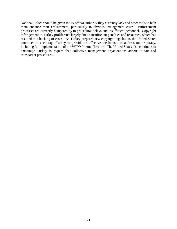National Police should be given the *ex officio* authority they currently lack and other tools to help them enhance their enforcement, particularly in obvious infringement cases. Enforcement processes are currently hampered by to procedural delays and insufficient personnel. Copyright infringement in Turkey proliferates largely due to insufficient penalties and resources, which has resulted in a backlog of cases. As Turkey prepares new copyright legislation, the United States continues to encourage Turkey to provide an effective mechanism to address online piracy, including full implementation of the WIPO Internet Treaties. The United States also continues to encourage Turkey to require that collective management organizations adhere to fair and transparent procedures.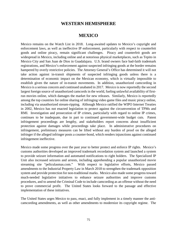## **WESTERN HEMISPHERE**

### **MEXICO**

Mexico remains on the Watch List in 2018. Long-awaited updates to Mexico's copyright and enforcement laws, as well as ineffective IP enforcement, particularly with respect to counterfeit goods and online piracy, remain significant challenges. Piracy and counterfeit goods are widespread in Mexico, including online and at notorious physical marketplaces, such as Tepito in Mexico City and San Juan de Dios in Guadalajara. U.S. brand owners face bad-faith trademark registrations, and Mexico's enforcement against suspected infringing goods at the border remains hampered by overly restrictive policies. The Attorney General's Office has determined it will not take action against in-transit shipments of suspected infringing goods unless there is a determination of economic impact on the Mexican economy, which is virtually impossible to establish given the nature of in-transit movements. In addition, unauthorized camcording in Mexico is a serious concern and continued unabated in 2017. Mexico is now reportedly the second largest foreign source of unauthorized camcords in the world, fueling unlawful availability of firstrun movies online, which damages the market for new releases. Similarly, Mexico is reportedly among the top countries for online sharing of infringing video game files and music piracy online, including via unauthorized stream-ripping. Although Mexico ratified the WIPO Internet Treaties in 2002, Mexico has not enacted legislation to protect against the circumvention of TPMs and RMI. Investigation and prosecution of IP crimes, particularly with regard to online IP crimes, continues to be inadequate, due in part to continued government-wide budget cuts. Patent infringement proceedings are lengthy, and stakeholders report concerns about insufficient protection against damages while proceedings take place. In administrative procedures on infringement, preliminary measures can be lifted without any burden of proof on the alleged infringer if the alleged infringer posts a counter-bond, which renders injunctions against continued infringement ineffective.

Mexico made some progress over the past year to better protect and enforce IP rights. Mexico's customs authorities developed an improved trademark recordation system and launched a system to provide seizure information and automated notifications to right holders. The Specialized IP Unit also increased seizures and arrests, including apprehending a popular unauthorized movie streaming site "peliculasmas.com." With respect to legislative efforts, Mexico passed amendments to the Industrial Property Law in March 2018 to strengthen the trademark opposition system and provide protection for non-traditional marks. Mexico also made some progress toward much-needed legislative initiatives to enhance seizure authorities and improve customs procedures, and to amend the Criminal Code to include camcording as an offense without the need to prove commercial profit. The United States looks forward to the passage and effective implementation of these initiatives.

The United States urges Mexico to pass, enact, and fully implement in a timely manner the anticamcording amendments, as well as other amendments to modernize its copyright regime. The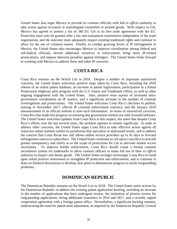United States also urges Mexico to provide its customs officials with full *ex officio* authority to take action against in-transit or transshipped counterfeit or pirated goods. With respect to GIs, Mexico has agreed to protect a list of 340 EU GIs in its free trade agreement with the EU. Protection must only be granted after a fair and transparent examination independent of the trade negotiations, and the outcome must adequately respect existing trademark rights and continue to allow for the use of common names. Finally, to combat growing levels of IP infringement in Mexico, the United States also encourages Mexico to improve coordination among federal and sub-federal officials, devote additional resources to enforcement, bring more IP-related prosecutions, and impose deterrent penalties against infringers. The United States looks forward to working with Mexico to address these and other IP concerns.

## **COSTA RICA**

Costa Rica remains on the Watch List in 2018. Despite a number of important unresolved concerns, the United States welcomes positive steps taken by Costa Rica, including the 2016 release of an online patent database, an increase in patent registrations, participation in a Patent Prosecution Highway pilot program with the U.S. Patent and Trademark Office, as well as other ongoing engagement with the United States. Also, positive were reports of increased intragovernment coordination on IP matters, and a significant increase in the number of criminal investigations and prosecutions. The United States welcomes Costa Rica's decision to publish, starting in November 2017, official IP criminal enforcement statistics, and the January 2018 announcement of an official website to host such information. In terms of unresolved concerns, Costa Rica has made less progress on ensuring that government entities use only licensed software. The United States welcomes updates from Costa Rica in this respect, but notes that despite Costa Rica's efforts over the last several years, the problem appears to remain significant. In order to address other concerns, the United States urges Costa Rica to take effective action against all notorious online markets within its jurisdiction that specialize in unlicensed works, and to address the concern that Costa Rican law still allows online service providers up to 45 days to forward infringement notices to subscribers. The United States continues to call upon Costa Rica to provide greater transparency and clarity as to the scope of protections for GIs to alleviate market access uncertainty. To improve border enforcement, Costa Rica should create a formal customs recordation system for trademarks to allow customs officers to make full use of their *ex officio* authority to inspect and detain goods. The United States strongly encourages Costa Rica to build upon initial positive momentum to strengthen IP protection and enforcement, and to continue to draw on bilateral discussions to develop clear plans to demonstrate progress to tackle longstanding problems.

## **DOMINICAN REPUBLIC**

The Dominican Republic remains on the Watch List in 2018. The United States notes actions by the Dominican Republic to address the existing patent application backlog, including an increase in the number of applications that have undergone review, the institution of priority review for long-pending applications, hiring additional examiners in 2016 and 2017, and a recently signed cooperation agreement with a foreign patent office. Nevertheless, a significant backlog remains, underscoring the need for patent term adjustment, as required by the Dominican Republic-Central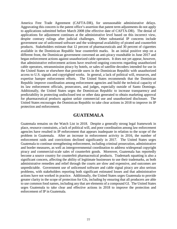America Free Trade Agreement (CAFTA-DR), for unreasonable administrative delays. Aggravating this concern is the patent office's assertion that patent term adjustments do not apply to applications submitted before March 2008 (the effective date of CAFTA-DR). The denial of applications for adjustment continues at the administrative level based on this incorrect view, despite contrary rulings after judicial challenges. Other substantial IP concerns include government use of unlicensed software and the widespread availability of pirated and counterfeit products. Stakeholders estimate that 12 percent of pharmaceuticals and 30 percent of cigarettes available in the Dominican Republic bear counterfeit marks. In an initial positive step on a different front, the Dominican government convened an anti-piracy roundtable in June 2017 and began enforcement actions against unauthorized cable operators. It does not yet appear, however, that administrative enforcement actions have resolved ongoing concerns regarding unauthorized cable operators, retransmission piracy by hotels, or sales of satellite decoders intended for use in the United States or elsewhere that provide users in the Dominican Republic with unauthorized access to U.S. signals and copyrighted works. In general, a lack of political will, resources, and expertise hamper enforcement efforts. The United States recommends that the Dominican Republic improve coordination among enforcement agencies and build the technical capacity of its law enforcement officials, prosecutors, and judges, especially outside of Santo Domingo. Additionally, the United States urges the Dominican Republic to increase transparency and predictability in protecting undisclosed test or other data generated to obtain marketing approval for pharmaceutical products against unfair commercial use and unauthorized disclosure. The United States encourages the Dominican Republic to take clear actions in 2018 to improve its IP protection and enforcement.

#### **GUATEMALA**

Guatemala remains on the Watch List in 2018. Despite a generally strong legal framework in place, resource constraints, a lack of political will, and poor coordination among law enforcement agencies have resulted in IP enforcement that appears inadequate in relation to the scope of the problem in Guatemala. After an increase in enforcement activity in 2016, the number of enforcement raids and convictions declined significantly in 2017. The United States urges Guatemala to continue strengthening enforcement, including criminal prosecution, administrative and border measures, as well as intergovernmental coordination to address widespread copyright piracy and commercial-scale sales of counterfeit goods. Moreover, Guatemala has reportedly become a source country for counterfeit pharmaceutical products. Trademark squatting is also a significant concern, affecting the ability of legitimate businesses to use their trademarks, as both administrative remedies and relief through the courts are slow and expensive, and outcomes are unpredictable. Government use of unlicensed software and cable signal piracy are also serious problems, with stakeholders reporting both significant estimated losses and that administrative actions have not worked in practice. Additionally, the United States urges Guatemala to provide greater clarity in the scope of protection for GIs, including by ensuring that all producers are able to use common food names, including any that are elements of a compound GI. The United States urges Guatemala to take clear and effective actions in 2018 to improve the protection and enforcement of IP in Guatemala.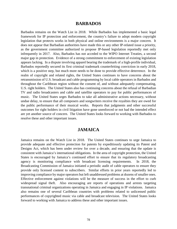#### **BARBADOS**

Barbados remains on the Watch List in 2018. While Barbados has implemented a basic legal framework for IP protection and enforcement, the country's failure to adopt modern copyright legislation that protects works in both physical and online environments is a major concern. It does not appear that Barbadian authorities have made this or any other IP-related issue a priority, as the government committee authorized to propose IP-based legislation reportedly met only infrequently in 2017. Also, Barbados has not acceded to the WIPO Internet Treaties, a second major gap in protection. Evidence of a strong commitment to enforcement of existing legislation appears lacking. In a dispute involving apparel bearing the trademark of a high-profile individual, Barbados reportedly secured its first criminal trademark counterfeiting conviction in early 2018, which is a positive step, but much more needs to be done to provide effective deterrence. In the realm of copyright and related rights, the United States continues to have concerns about the retransmission of U.S. broadcast and cable programming by local cable operators in Barbados and throughout the Caribbean region without the consent of, and without adequately compensating, U.S. right holders. The United States also has continuing concerns about the refusal of Barbadian TV and radio broadcasters and cable and satellite operators to pay for public performances of music. The United States urges Barbados to take all administrative actions necessary, without undue delay, to ensure that all composers and songwriters receive the royalties they are owed for the public performance of their musical works. Reports that judgments and other successful outcomes for right holders in civil litigation have gone unenforced or not had the intended effect are yet another source of concern. The United States looks forward to working with Barbados to resolve these and other important issues.

## **JAMAICA**

Jamaica remains on the Watch List in 2018. The United States continues to urge Jamaica to provide adequate and effective protection for patents by expeditiously updating its Patent and Designs Act, which has been under review for over a decade, and ensuring that the update is consistent with Jamaica's international obligations. In the area of copyright protection, the United States is encouraged by Jamaica's continued effort to ensure that its regulatory broadcasting agency is monitoring compliance with broadcast licensing requirements. In 2018, the Broadcasting Commission of Jamaica initiated a periodic audit of cable operators to ensure they provide only licensed content to subscribers. Similar efforts in prior years reportedly led to improving compliance by major operators but left unaddressed problems at dozens of smaller ones. Effective enforcement against violations will be the measure of success in the effort to curb widespread signal theft. Also encouraging are reports of operations and arrests targeting transnational criminal organizations operating in Jamaica and engaging in IP violations. Jamaica also remains one of several Caribbean countries with problems related to unlicensed public performances of copyrighted music via cable and broadcast television. The United States looks forward to working with Jamaica to address these and other important issues.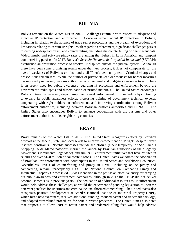### **BOLIVIA**

Bolivia remains on the Watch List in 2018. Challenges continue with respect to adequate and effective IP protection and enforcement. Concerns remain about IP protection in Bolivia, including in relation to the absence of trade secret protections and the breadth of exceptions and limitations relating to certain IP rights. With regard to enforcement, significant challenges persist to curbing widespread piracy and counterfeiting, including the counterfeiting of pharmaceuticals. Video, music, and software piracy rates are among the highest in Latin America, and rampant counterfeiting persists. In 2017, Bolivia's *Servicio Nacional de Propiedad Intelectual* (SENAPI) established an arbitration process to resolve IP disputes outside the judicial system. Although there have been some promising results under that new process, it does not compensate for the overall weakness of Bolivia's criminal and civil IP enforcement system. Criminal charges and prosecutions remain rare. While the number of private stakeholder requests for border measures has reportedly increased, customs authorities lack personnel and budgetary resources to act. There is an urgent need for public awareness regarding IP protection and enforcement beyond the government's radio spots and dissemination of printed materials. The United States encourages Bolivia to take the necessary steps to improve its weak enforcement of IP, including by continuing to expand its public awareness efforts, increasing training of government technical experts, cooperating with right holders on enforcement, and improving coordination among Bolivian enforcement authorities, including between Bolivian customs authorities and SENAPI. The United States also encourages Bolivia to enhance cooperation with the customs and other enforcement authorities of its neighboring countries.

#### **BRAZIL**

Brazil remains on the Watch List in 2018. The United States recognizes efforts by Brazilian officials at the federal, state, and local levels to improve enforcement of IP rights, despite severe resource constraints. Notable successes include the closure (albeit temporary) of São Paulo's Shopping 25 de Março notorious market, the launch by Brazilian authorities of the "Legality Movement" (Movimento Legalidade), and similar IP enforcement initiatives that have resulted in seizures of over \$150 million of counterfeit goods. The United States welcomes the cooperation of Brazilian law enforcement with counterparts in the United States and neighboring countries. Nevertheless, levels of counterfeiting and piracy in Brazil, including online piracy and camcording, remain unacceptably high. The National Council on Combating Piracy and Intellectual Property Crimes (CNCP) was identified in the past as an effective entity for carrying out public awareness and enforcement campaigns, although in 2017 the CNCP did not deliver accomplishments as in previous years. The dedication of additional resources to IP enforcement would help address these challenges, as would the enactment of pending legislation to increase deterrent penalties for IP crimes and criminalize unauthorized camcording. The United States also recognizes positive developments at Brazil's National Institute of Industrial Property (INPI), which hired new examiners, received additional funding, reduced patent and trademark backlogs, and adopted streamlined procedures for certain review processes. The United States also notes that proposals to allow INPI to retain patent and trademark filing fees would help address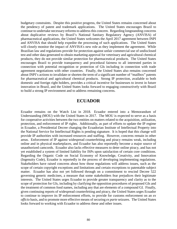budgetary constraints. Despite this positive progress, the United States remains concerned about the pendency of patent and trademark applications. The United States encourages Brazil to continue to undertake necessary reforms to address this concern. Regarding longstanding concerns about duplicative reviews by Brazil's National Sanitary Regulatory Agency (ANVISA) of pharmaceutical applications, the United States welcomes the April 2017 agreement between INPI and ANVISA that should help expedite the processing of such applications. The United States will closely monitor the impact of ANVISA's new role as they implement the agreement. While Brazilian law and regulations provide for protection against unfair commercial use of undisclosed test and other data generated to obtain marketing approval for veterinary and agricultural chemical products, they do not provide similar protection for pharmaceutical products. The United States encourages Brazil to provide transparency and procedural fairness to all interested parties in connection with potential recognition or protection of GIs including in connection with trade agreement negotiations with other countries. Finally, the United States also remains concerned about INPI's actions to invalidate or shorten the term of a significant number of "mailbox" patents for pharmaceutical and agricultural chemical products. Strong IP protection, available to both domestic and foreign right holders, provides a critical incentive for businesses to invest in future innovation in Brazil, and the United States looks forward to engaging constructively with Brazil to build a strong IP environment and to address remaining concerns.

## **ECUADOR**

Ecuador remains on the Watch List in 2018. Ecuador entered into a Memorandum of Understanding (MOU) with the United States in 2017. The MOU is expected to serve as a basis for cooperative activities between the two entities on matters related to the acquisition, utilization, protection, and enforcement of IP rights. Additionally, as part of efforts to update the IP regime in Ecuador, a Presidential Decree changing the Ecuadorian Institute of Intellectual Property into the National Service for Intellectual Rights is pending signature. It is hoped that this change will provide IP authorities with increased resources and staffing. However, concerns remain in other areas. Enforcement of IP against widespread counterfeiting and piracy remains weak, including online and in physical marketplaces, and Ecuador has also reportedly become a major source of unauthorized camcords. Ecuador also lacks effective measures to deter online piracy, and has not yet established a system of limited liability for ISPs upon satisfaction of certain core conditions. Regarding the Organic Code on Social Economy of Knowledge, Creativity, and Innovation (Ingenuity Code), Ecuador is reportedly in the process of developing implementing regulations. Stakeholders have raised concerns about how those regulations will address issues, such as the scope of certain copyright exceptions and limitations and certain exceptions to patentable subject matter. Ecuador has also not yet followed through on a commitment to rescind Decree 522 governing generic medicines, a measure that some stakeholders fear prejudices their legitimate interests. The United States urges Ecuador to provide greater transparency and clarity as to the scope of protection for GIs, including by clarifying the opposition procedures of proposed GIs and the treatment of common food names, including any that are elements of a compound GI. Finally, given continuing reports of widespread counterfeiting and piracy, the United States urges Ecuador to continue to improve its IP enforcement efforts, to provide for customs enforcement on an *ex officio* basis, and to promote more effective means of securing *ex parte* seizures. The United States looks forward to working with Ecuador to address these and other issues.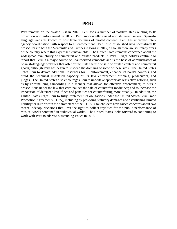#### **PERU**

Peru remains on the Watch List in 2018. Peru took a number of positive steps relating to IP protection and enforcement in 2017. Peru successfully seized and shuttered several Spanishlanguage websites known to host large volumes of pirated content. Peru has improved interagency coordination with respect to IP enforcement. Peru also established new specialized IP prosecutors in both the Ventanilla and Tumbes regions in 2017, although there are still many areas of the country where this expertise is unavailable. The United States remains concerned about the widespread availability of counterfeit and pirated products in Peru. Right holders continue to report that Peru is a major source of unauthorized camcords and is the base of administrators of Spanish-language websites that offer or facilitate the use or sale of pirated content and counterfeit goods, although Peru has begun to suspend the domains of some of these sites. The United States urges Peru to devote additional resources for IP enforcement, enhance its border controls, and build the technical IP-related capacity of its law enforcement officials, prosecutors, and judges. The United States also encourages Peru to undertake appropriate legislative reforms, such as by criminalizing camcording in a manner that allows for effective enforcement; to pursue prosecutions under the law that criminalizes the sale of counterfeit medicines; and to increase the imposition of deterrent-level fines and penalties for counterfeiting more broadly. In addition, the United States urges Peru to fully implement its obligations under the United States-Peru Trade Promotion Agreement (PTPA), including by providing statutory damages and establishing limited liability for ISPs within the parameters of the PTPA. Stakeholders have raised concerns about two recent Indecopi decisions that limit the right to collect royalties for the public performance of musical works contained in audiovisual works. The United States looks forward to continuing to work with Peru to address outstanding issues in 2018.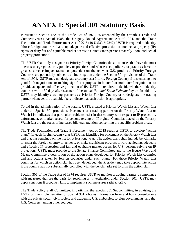# **ANNEX 1: Special 301 Statutory Basis**

Pursuant to Section 182 of the Trade Act of 1974, as amended by the Omnibus Trade and Competitiveness Act of 1988, the Uruguay Round Agreements Act of 1994, and the Trade Facilitation and Trade Enforcement Act of 2015 (19 U.S.C. § 2242), USTR is required to identify "those foreign countries that deny adequate and effective protection of intellectual property (IP) rights, or deny fair and equitable market access to United States persons that rely upon intellectual property protection."

The USTR shall only designate as Priority Foreign Countries those countries that have the most onerous or egregious acts, policies, or practices and whose acts, policies, or practices have the greatest adverse impact (actual or potential) on the relevant U.S. products. Priority Foreign Countries are potentially subject to an investigation under the Section 301 provisions of the Trade Act of 1974. USTR may not designate a country as a Priority Foreign Country if it is entering into good faith negotiations or making significant progress in bilateral or multilateral negotiations to provide adequate and effective protection of IP. USTR is required to decide whether to identify countries within 30 days after issuance of the annual *National Trade Estimate Report*. In addition, USTR may identify a trading partner as a Priority Foreign Country or re-designate the trading partner whenever the available facts indicate that such action is appropriate.

To aid in the administration of the statute, USTR created a Priority Watch List and Watch List under the Special 301 provisions. Placement of a trading partner on the Priority Watch List or Watch List indicates that particular problems exist in that country with respect to IP protection, enforcement, or market access for persons relying on IP rights. Countries placed on the Priority Watch List are the focus of increased bilateral attention concerning the specific problem areas.

The Trade Facilitation and Trade Enforcement Act of 2015 requires USTR to develop "action plans" for each foreign country that USTR has identified for placement on the Priority Watch List and that has remained on the list for at least one year. The action plans shall include benchmarks to assist the foreign country to achieve, or make significant progress toward achieving, adequate and effective IP protection and fair and equitable market access for U.S. persons relying on IP protection. USTR must provide to the Senate Finance Committee and to the House Ways and Means Committee a description of the action plans developed for Priority Watch List countries and any actions taken by foreign countries under such plans. For those Priority Watch List countries for which an action plan has been developed, the President may take appropriate action if the country has not substantially complied with the benchmarks set forth in the action plan.

Section 306 of the Trade Act of 1974 requires USTR to monitor a trading partner's compliance with measures that are the basis for resolving an investigation under Section 301. USTR may apply sanctions if a country fails to implement such measures satisfactorily.

The Trade Policy Staff Committee, in particular the Special 301 Subcommittee, in advising the USTR on the implementation of Special 301, obtains information from and holds consultations with the private sector, civil society and academia, U.S. embassies, foreign governments, and the U.S. Congress, among other sources.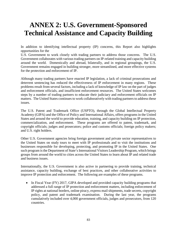# **ANNEX 2: U.S. Government-Sponsored Technical Assistance and Capacity Building**

In addition to identifying intellectual property (IP) concerns, this Report also highlights opportunities for the

U.S. Government to work closely with trading partners to address those concerns. The U.S. Government collaborates with various trading partners on IP-related training and capacity building around the world. Domestically and abroad, bilaterally, and in regional groupings, the U.S. Government remains engaged in building stronger, more streamlined, and more effective systems for the protection and enforcement of IP.

Although many trading partners have enacted IP legislation, a lack of criminal prosecutions and deterrent sentencing has reduced the effectiveness of IP enforcement in many regions. These problems result from several factors, including a lack of knowledge of IP law on the part of judges and enforcement officials, and insufficient enforcement resources. The United States welcomes steps by a number of trading partners to educate their judiciary and enforcement officials on IP matters. The United States continues to work collaboratively with trading partners to address these issues.

The U.S. Patent and Trademark Office (USPTO), through the Global Intellectual Property Academy (GIPA) and the Office of Policy and International Affairs, offers programs in the United States and around the world to provide education, training, and capacity building on IP protection, commercialization, and enforcement. These programs are offered to patent, trademark, and copyright officials; judges and prosecutors; police and customs officials; foreign policy makers; and U.S. right holders.

Other U.S. Government agencies bring foreign government and private sector representatives to the United States on study tours to meet with IP professionals and to visit the institutions and businesses responsible for developing, protecting, and promoting IP in the United States. One such program is the Department of State's International Visitors Leadership Program, which brings groups from around the world to cities across the United States to learn about IP and related trade and business issues.

Internationally, the U.S. Government is also active in partnering to provide training, technical assistance, capacity building, exchange of best practices, and other collaborative activities to improve IP protection and enforcement. The following are examples of these programs.

• In Fiscal Year (FY) 2017, GIPA developed and provided capacity building programs that addressed a full range of IP protection and enforcement matters, including enforcement of IP rights at national borders, online piracy, express mail shipments, trade secrets, copyright policy, and patent and trademark examination. During the last year, the programs cumulatively included over 4,000 government officials, judges and prosecutors, from 120 countries.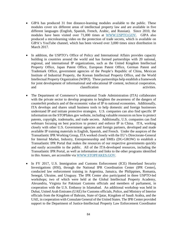- GIPA has produced 31 free distance-learning modules available to the public. These modules cover six different areas of intellectual property law and are available in five different languages (English, Spanish, French, Arabic, and Russian). Since 2010, the modules have been visited over 71,000 times at [WWW.USPTO.GOV.](http://www.uspto.gov/) GIPA also produced a microlearning video on the protection of trade secrets, which is available on GIPA's YouTube channel, which has been viewed over 3,000 times since distribution in March 2017.
- In addition, the USPTO's Office of Policy and International Affairs provides capacity building in countries around the world and has formed partnerships with 20 national, regional, and international IP organizations, such as the United Kingdom Intellectual Property Office, Japan Patent Office, European Patent Office, German Patent and Trademark Office, government agencies of the People's Republic of China, Mexican Institute of Industrial Property, the Korean Intellectual Property Office, and the World Intellectual Property Organization (WIPO). These partnerships help establish a framework for joint development of informational and educational IP content, technical cooperation, and activities. The classification activities activities.
- The Department of Commerce's International Trade Administration (ITA) collaborates with the private sector to develop programs to heighten the awareness of the dangers of counterfeit products and of the economic value of IP to national economies. Additionally, ITA develops and shares small business tools to help domestic and foreign businesses understand IP and initiate protective strategies. U.S. companies can also find specific IP information on the STOPfakes.gov website, including valuable resources on how to protect patents, copyright, trademarks, and trade secrets. Additionally, U.S. companies can find webinars focusing on best practices to protect and enforce IP in China. ITA, working closely with other U.S. Government agencies and foreign partners, developed and made available IP training materials in English, Spanish, and French. Under the auspices of the Transatlantic IPR Working Group, ITA worked closely with the EU's Directorate-General for Internal Market, Industry, Entrepreneurship and SMEs (DG-GROW) to establish a Transatlantic IPR Portal that makes the resources of our respective governments quickly and easily accessible to the public. All of the ITA-developed resources, including the Transatlantic IPR Portal, as well as information and links to the other programs identified in this Annex, are accessible via [WWW.STOPFAKES.GOV.](http://www.stopfakes.gov/)
- In FY 2017, U.S. Immigration and Customs Enforcement (ICE) Homeland Security Investigations (HSI), through the National IPR Coordination Center (IPR Center), conducted law enforcement training in Argentina, Jamaica, the Philippines, Romania, Senegal, Ukraine, and Uruguay. The IPR Center also participated in three USPTO-led workshops; two of which were held at the Global Intellectual Property Academy, Alexandria, Virginia for Pakistani Customs officials and members of parliament, in cooperation with the U.S. Embassy in Islamabad. An additional workshop was held in Dubai, United Arab Emirates (UAE) for Customs officials, Police, and Ministry of Interior officials from the Kingdom of Bahrain, State of Qatar, Kingdom of Saudi Arabia, and the UAE, in cooperation with Consulate General of the United States. The IPR Center provided support to the Department of Justice-Intellectual Property Law Enforcement Coordinator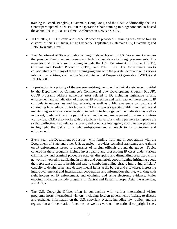training in Brazil, Bangkok, Guatemala, Hong Kong, and the UAE. Additionally, the IPR Center participated in INTERPOL's Operation Chain training in Singapore and co-hosted the annual INTERPOL IP Crime Conference in New York City.

- In FY 2017, U.S. Customs and Border Protection provided IP training sessions to foreign customs officials in Dubai, UAE; Dushanbe, Tajikistan; Guatemala City, Guatemala; and Belo Horizonte, Brazil.
- The Department of State provides training funds each year to U.S. Government agencies that provide IP enforcement training and technical assistance to foreign governments. The agencies that provide such training include the U.S. Department of Justice, USPTO, Customs and Border Protection (CBP), and ICE. The U.S. Government works collaboratively on many of these training programs with the private sector and with various international entities, such as the World Intellectual Property Organization (WIPO) and INTERPOL.
- IP protection is a priority of the government-to-government technical assistance provided by the Department of Commerce's Commercial Law Development Program (CLDP). CLDP programs address numerous areas related to IP, including legislative reform, enforcement and adjudication of disputes, IP protection and its impact on the economy, IP curricula in universities and law schools, as well as public awareness campaigns and continuing legal education for lawyers. CLDP supports capacity building in creating and maintaining an innovation ecosystem, including technology commercialization as well as in patent, trademark, and copyright examination and management in many countries worldwide. CLDP also works with the judiciary in various trading partners to improve the skills to effectively adjudicate IP cases, and conducts interagency coordination programs to highlight the value of a whole-of-government approach to IP protection and enforcement.
- Every year, the Department of Justice—with funding from and in cooperation with the Department of State and other U.S. agencies—provides technical assistance and training on IP enforcement issues to thousands of foreign officials around the globe. Topics covered in these programs include investigating and prosecuting IP cases under various criminal law and criminal procedure statutes; disrupting and dismantling organized crime networks involved in trafficking in pirated and counterfeit goods; fighting infringing goods that represent a threat to health and safety; combating online piracy; improving officials' capacity to detain, seize, and destroy illegal items at the border and elsewhere; increasing intra-governmental and international cooperation and information sharing; working with right holders on IP enforcement; and obtaining and using electronic evidence. Major ongoing initiatives include programs in Central and Eastern Europe, Asia, the Americas, and Africa.
- The U.S. Copyright Office, often in conjunction with various international visitor programs, hosts international visitors, including foreign government officials, to discuss and exchange information on the U.S. copyright system, including law, policy, and the registration and recordation functions, as well as various international copyright issues.